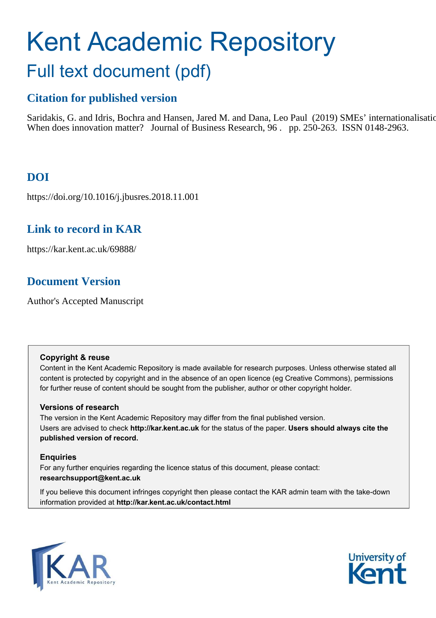# Kent Academic Repository Full text document (pdf)

# **Citation for published version**

Saridakis, G. and Idris, Bochra and Hansen, Jared M. and Dana, Leo Paul (2019) SMEs' internationalisation: When does innovation matter? Journal of Business Research, 96 . pp. 250-263. ISSN 0148-2963.

# **DOI**

https://doi.org/10.1016/j.jbusres.2018.11.001

# **Link to record in KAR**

https://kar.kent.ac.uk/69888/

# **Document Version**

Author's Accepted Manuscript

#### **Copyright & reuse**

Content in the Kent Academic Repository is made available for research purposes. Unless otherwise stated all content is protected by copyright and in the absence of an open licence (eg Creative Commons), permissions for further reuse of content should be sought from the publisher, author or other copyright holder.

## **Versions of research**

The version in the Kent Academic Repository may differ from the final published version. Users are advised to check **http://kar.kent.ac.uk** for the status of the paper. **Users should always cite the published version of record.**

## **Enquiries**

For any further enquiries regarding the licence status of this document, please contact: **researchsupport@kent.ac.uk**

If you believe this document infringes copyright then please contact the KAR admin team with the take-down information provided at **http://kar.kent.ac.uk/contact.html**



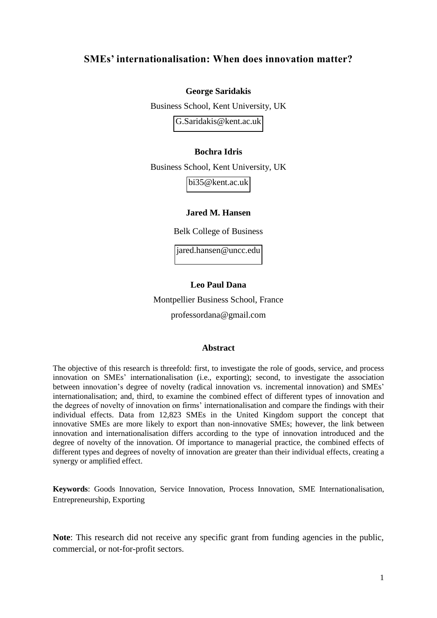## **SMEs' internationalisation: When does innovation matter?**

#### **George Saridakis**

Business School, Kent University, UK [G.Saridakis@kent.ac.uk](mailto:G.Saridakis@kent.ac.uk) 

#### **Bochra Idris**

Business School, Kent University, UK [bi35@kent.ac.uk](mailto:bi35@kent.ac.uk) 

#### **Jared M. Hansen**

Belk College of Business

[jared.hansen@uncc.edu](mailto:jared.hansen@uncc.edu) 

#### **Leo Paul Dana**

Montpellier Business School, France

professordana@gmail.com

#### **Abstract**

The objective of this research is threefold: first, to investigate the role of goods, service, and process innovation on SMEs' internationalisation (i.e., exporting); second, to investigate the association between innovation's degree of novelty (radical innovation vs. incremental innovation) and SMEs' internationalisation; and, third, to examine the combined effect of different types of innovation and the degrees of novelty of innovation on firms' internationalisation and compare the findings with their individual effects. Data from 12,823 SMEs in the United Kingdom support the concept that innovative SMEs are more likely to export than non-innovative SMEs; however, the link between innovation and internationalisation differs according to the type of innovation introduced and the degree of novelty of the innovation. Of importance to managerial practice, the combined effects of different types and degrees of novelty of innovation are greater than their individual effects, creating a synergy or amplified effect.

**Keywords**: Goods Innovation, Service Innovation, Process Innovation, SME Internationalisation, Entrepreneurship, Exporting

Note: This research did not receive any specific grant from funding agencies in the public, commercial, or not-for-profit sectors.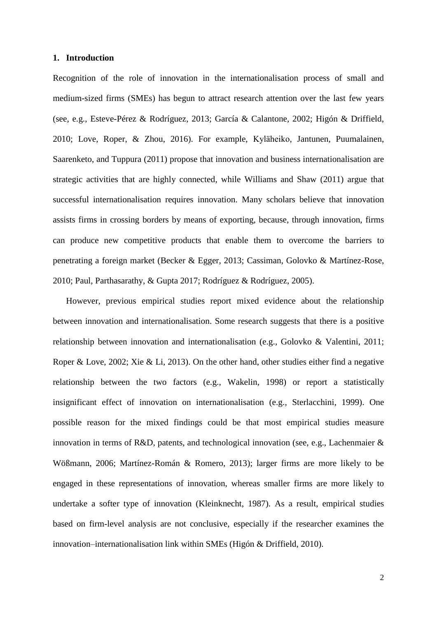#### **1. Introduction**

Recognition of the role of innovation in the internationalisation process of small and medium-sized firms (SMEs) has begun to attract research attention over the last few years (see, e.g., Esteve-Pérez & Rodríguez, 2013; García & Calantone, 2002; Higón & Driffield, 2010; Love, Roper, & Zhou, 2016). For example, Kyläheiko, Jantunen, Puumalainen, Saarenketo, and Tuppura (2011) propose that innovation and business internationalisation are strategic activities that are highly connected, while Williams and Shaw (2011) argue that successful internationalisation requires innovation. Many scholars believe that innovation assists firms in crossing borders by means of exporting, because, through innovation, firms can produce new competitive products that enable them to overcome the barriers to penetrating a foreign market (Becker & Egger, 2013; Cassiman, Golovko & Martínez-Rose, 2010; Paul, Parthasarathy, & Gupta 2017; Rodríguez & Rodríguez, 2005).

However, previous empirical studies report mixed evidence about the relationship between innovation and internationalisation. Some research suggests that there is a positive relationship between innovation and internationalisation (e.g., Golovko & Valentini, 2011; Roper & Love, 2002; Xie & Li, 2013). On the other hand, other studies either find a negative relationship between the two factors (e.g., Wakelin, 1998) or report a statistically insignificant effect of innovation on internationalisation (e.g., Sterlacchini, 1999). One possible reason for the mixed findings could be that most empirical studies measure innovation in terms of R&D, patents, and technological innovation (see, e.g., Lachenmaier & Wößmann, 2006; Martínez-Román & Romero, 2013); larger firms are more likely to be engaged in these representations of innovation, whereas smaller firms are more likely to undertake a softer type of innovation (Kleinknecht, 1987). As a result, empirical studies based on firm-level analysis are not conclusive, especially if the researcher examines the innovation–internationalisation link within SMEs (Higón & Driffield, 2010).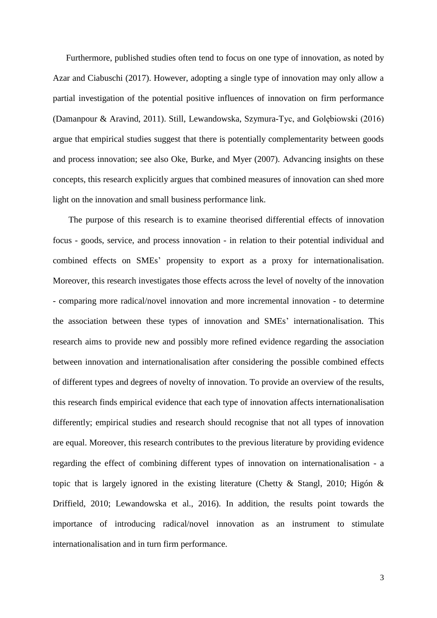Furthermore, published studies often tend to focus on one type of innovation, as noted by Azar and Ciabuschi (2017). However, adopting a single type of innovation may only allow a partial investigation of the potential positive influences of innovation on firm performance (Damanpour & Aravind, 2011). Still, Lewandowska, Szymura-Tyc, and Golebiowski  $(2016)$ argue that empirical studies suggest that there is potentially complementarity between goods and process innovation; see also Oke, Burke, and Myer (2007). Advancing insights on these concepts, this research explicitly argues that combined measures of innovation can shed more light on the innovation and small business performance link.

The purpose of this research is to examine theorised differential effects of innovation focus - goods, service, and process innovation - in relation to their potential individual and combined effects on SMEs' propensity to export as a proxy for internationalisation. Moreover, this research investigates those effects across the level of novelty of the innovation - comparing more radical/novel innovation and more incremental innovation - to determine the association between these types of innovation and SMEs' internationalisation. This research aims to provide new and possibly more refined evidence regarding the association between innovation and internationalisation after considering the possible combined effects of different types and degrees of novelty of innovation. To provide an overview of the results, this research finds empirical evidence that each type of innovation affects internationalisation differently; empirical studies and research should recognise that not all types of innovation are equal. Moreover, this research contributes to the previous literature by providing evidence regarding the effect of combining different types of innovation on internationalisation - a topic that is largely ignored in the existing literature (Chetty & Stangl, 2010; Higón & Driffield, 2010; Lewandowska et al., 2016). In addition, the results point towards the importance of introducing radical/novel innovation as an instrument to stimulate internationalisation and in turn firm performance.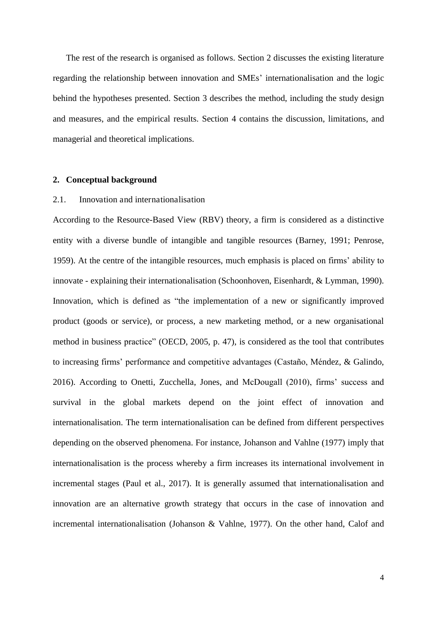The rest of the research is organised as follows. Section 2 discusses the existing literature regarding the relationship between innovation and SMEs' internationalisation and the logic behind the hypotheses presented. Section 3 describes the method, including the study design and measures, and the empirical results. Section 4 contains the discussion, limitations, and managerial and theoretical implications.

#### **2. Conceptual background**

#### 2.1. Innovation and internationalisation

According to the Resource-Based View (RBV) theory, a firm is considered as a distinctive entity with a diverse bundle of intangible and tangible resources (Barney, 1991; Penrose, 1959). At the centre of the intangible resources, much emphasis is placed on firms' ability to innovate - explaining their internationalisation (Schoonhoven, Eisenhardt, & Lymman, 1990). Innovation, which is defined as "the implementation of a new or significantly improved product (goods or service), or process, a new marketing method, or a new organisational method in business practice" (OECD, 2005, p. 47), is considered as the tool that contributes to increasing firms' performance and competitive advantages (Castaño, Méndez, & Galindo, 2016). According to Onetti, Zucchella, Jones, and McDougall (2010), firms' success and survival in the global markets depend on the joint effect of innovation and internationalisation. The term internationalisation can be defined from different perspectives depending on the observed phenomena. For instance, Johanson and Vahlne (1977) imply that internationalisation is the process whereby a firm increases its international involvement in incremental stages (Paul et al., 2017). It is generally assumed that internationalisation and innovation are an alternative growth strategy that occurs in the case of innovation and incremental internationalisation (Johanson & Vahlne, 1977). On the other hand, Calof and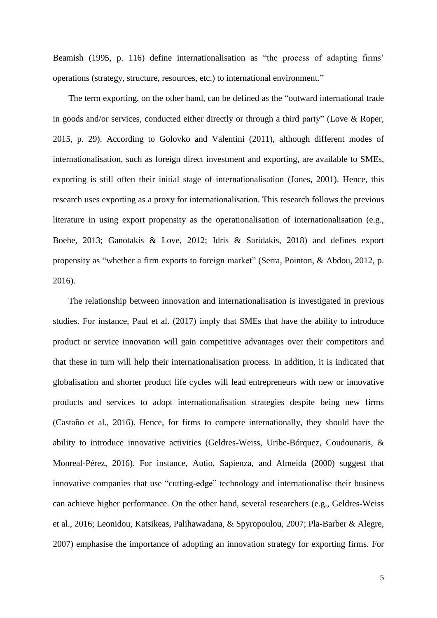Beamish (1995, p. 116) define internationalisation as "the process of adapting firms' operations (strategy, structure, resources, etc.) to international environment."

The term exporting, on the other hand, can be defined as the "outward international trade in goods and/or services, conducted either directly or through a third party" (Love & Roper, 2015, p. 29). According to Golovko and Valentini (2011), although different modes of internationalisation, such as foreign direct investment and exporting, are available to SMEs, exporting is still often their initial stage of internationalisation (Jones, 2001). Hence, this research uses exporting as a proxy for internationalisation. This research follows the previous literature in using export propensity as the operationalisation of internationalisation (e.g., Boehe, 2013; Ganotakis & Love, 2012; Idris & Saridakis, 2018) and defines export propensity as "whether a firm exports to foreign market" (Serra, Pointon, & Abdou, 2012, p. 2016).

The relationship between innovation and internationalisation is investigated in previous studies. For instance, Paul et al. (2017) imply that SMEs that have the ability to introduce product or service innovation will gain competitive advantages over their competitors and that these in turn will help their internationalisation process. In addition, it is indicated that globalisation and shorter product life cycles will lead entrepreneurs with new or innovative products and services to adopt internationalisation strategies despite being new firms (Castaño et al., 2016). Hence, for firms to compete internationally, they should have the ability to introduce innovative activities (Geldres-Weiss, Uribe-Bórquez, Coudounaris, & Monreal-Pérez, 2016). For instance, Autio, Sapienza, and Almeida (2000) suggest that innovative companies that use "cutting-edge" technology and internationalise their business can achieve higher performance. On the other hand, several researchers (e.g., Geldres-Weiss et al., 2016; Leonidou, Katsikeas, Palihawadana, & Spyropoulou, 2007; Pla-Barber & Alegre, 2007) emphasise the importance of adopting an innovation strategy for exporting firms. For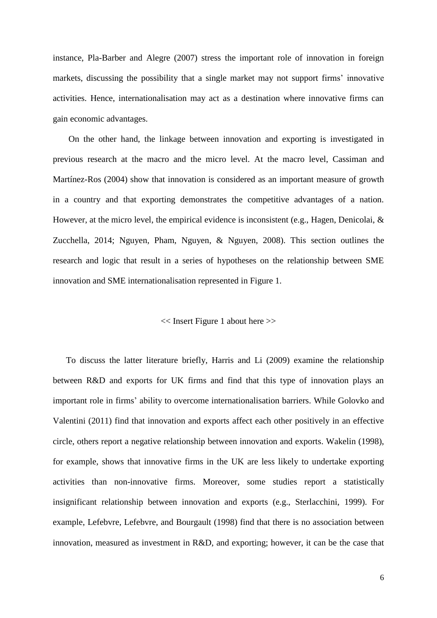instance, Pla-Barber and Alegre (2007) stress the important role of innovation in foreign markets, discussing the possibility that a single market may not support firms' innovative activities. Hence, internationalisation may act as a destination where innovative firms can gain economic advantages.

On the other hand, the linkage between innovation and exporting is investigated in previous research at the macro and the micro level. At the macro level, Cassiman and Martínez-Ros (2004) show that innovation is considered as an important measure of growth in a country and that exporting demonstrates the competitive advantages of a nation. However, at the micro level, the empirical evidence is inconsistent (e.g., Hagen, Denicolai, & Zucchella, 2014; Nguyen, Pham, Nguyen, & Nguyen, 2008). This section outlines the research and logic that result in a series of hypotheses on the relationship between SME innovation and SME internationalisation represented in Figure 1.

#### << Insert Figure 1 about here >>

To discuss the latter literature briefly, Harris and Li (2009) examine the relationship between R&D and exports for UK firms and find that this type of innovation plays an important role in firms' ability to overcome internationalisation barriers. While Golovko and Valentini (2011) find that innovation and exports affect each other positively in an effective circle, others report a negative relationship between innovation and exports. Wakelin (1998), for example, shows that innovative firms in the UK are less likely to undertake exporting activities than non-innovative firms. Moreover, some studies report a statistically insignificant relationship between innovation and exports (e.g., Sterlacchini, 1999). For example, Lefebvre, Lefebvre, and Bourgault (1998) find that there is no association between innovation, measured as investment in R&D, and exporting; however, it can be the case that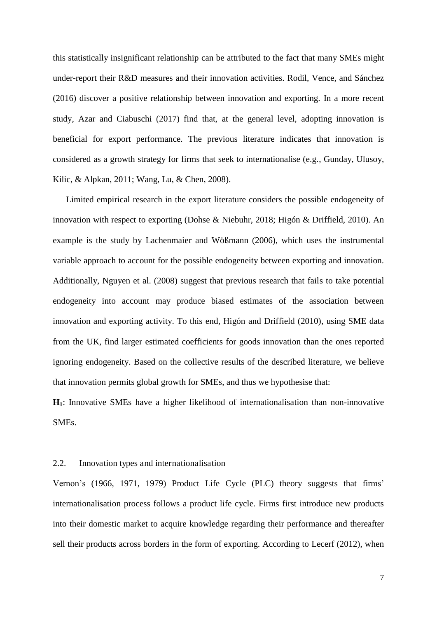this statistically insignificant relationship can be attributed to the fact that many SMEs might under-report their R&D measures and their innovation activities. Rodil, Vence, and Sánchez (2016) discover a positive relationship between innovation and exporting. In a more recent study, Azar and Ciabuschi (2017) find that, at the general level, adopting innovation is beneficial for export performance. The previous literature indicates that innovation is considered as a growth strategy for firms that seek to internationalise (e.g., Gunday, Ulusoy, Kilic, & Alpkan, 2011; Wang, Lu, & Chen, 2008).

Limited empirical research in the export literature considers the possible endogeneity of innovation with respect to exporting (Dohse & Niebuhr, 2018; Higón & Driffield, 2010). An example is the study by Lachenmaier and Wößmann (2006), which uses the instrumental variable approach to account for the possible endogeneity between exporting and innovation. Additionally, Nguyen et al. (2008) suggest that previous research that fails to take potential endogeneity into account may produce biased estimates of the association between innovation and exporting activity. To this end, Higón and Driffield (2010), using SME data from the UK, find larger estimated coefficients for goods innovation than the ones reported ignoring endogeneity. Based on the collective results of the described literature, we believe that innovation permits global growth for SMEs, and thus we hypothesise that:

**H1**: Innovative SMEs have a higher likelihood of internationalisation than non-innovative SMEs.

#### 2.2. Innovation types and internationalisation

Vernon's (1966, 1971, 1979) Product Life Cycle (PLC) theory suggests that firms' internationalisation process follows a product life cycle. Firms first introduce new products into their domestic market to acquire knowledge regarding their performance and thereafter sell their products across borders in the form of exporting. According to Lecerf (2012), when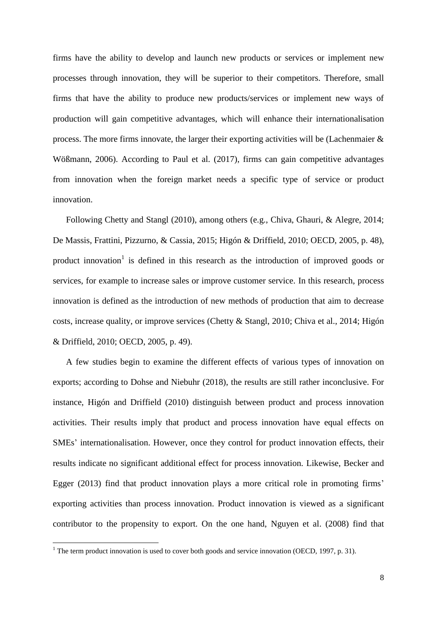firms have the ability to develop and launch new products or services or implement new processes through innovation, they will be superior to their competitors. Therefore, small firms that have the ability to produce new products/services or implement new ways of production will gain competitive advantages, which will enhance their internationalisation process. The more firms innovate, the larger their exporting activities will be (Lachenmaier & Wößmann, 2006). According to Paul et al. (2017), firms can gain competitive advantages from innovation when the foreign market needs a specific type of service or product innovation.

Following Chetty and Stangl (2010), among others (e.g., Chiva, Ghauri, & Alegre, 2014; De Massis, Frattini, Pizzurno, & Cassia, 2015; Higón & Driffield, 2010; OECD, 2005, p. 48), product innovation<sup>1</sup> is defined in this research as the introduction of improved goods or services, for example to increase sales or improve customer service. In this research, process innovation is defined as the introduction of new methods of production that aim to decrease costs, increase quality, or improve services (Chetty & Stangl, 2010; Chiva et al., 2014; Higón & Driffield, 2010; OECD, 2005, p. 49).

 A few studies begin to examine the different effects of various types of innovation on exports; according to Dohse and Niebuhr (2018), the results are still rather inconclusive. For instance, Higón and Driffield (2010) distinguish between product and process innovation activities. Their results imply that product and process innovation have equal effects on SMEs' internationalisation. However, once they control for product innovation effects, their results indicate no significant additional effect for process innovation. Likewise, Becker and Egger (2013) find that product innovation plays a more critical role in promoting firms' exporting activities than process innovation. Product innovation is viewed as a significant contributor to the propensity to export. On the one hand, Nguyen et al. (2008) find that

 $\overline{a}$ 

<sup>&</sup>lt;sup>1</sup> The term product innovation is used to cover both goods and service innovation (OECD, 1997, p. 31).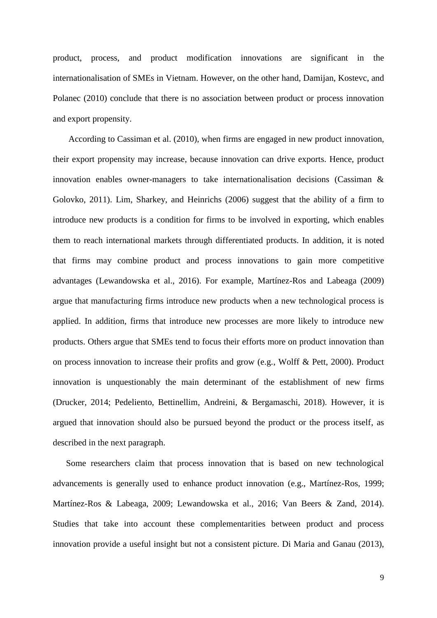product, process, and product modification innovations are significant in the internationalisation of SMEs in Vietnam. However, on the other hand, Damijan, Kostevc, and Polanec (2010) conclude that there is no association between product or process innovation and export propensity.

According to Cassiman et al. (2010), when firms are engaged in new product innovation, their export propensity may increase, because innovation can drive exports. Hence, product innovation enables owner-managers to take internationalisation decisions (Cassiman & Golovko, 2011). Lim, Sharkey, and Heinrichs (2006) suggest that the ability of a firm to introduce new products is a condition for firms to be involved in exporting, which enables them to reach international markets through differentiated products. In addition, it is noted that firms may combine product and process innovations to gain more competitive advantages (Lewandowska et al., 2016). For example, Martínez-Ros and Labeaga (2009) argue that manufacturing firms introduce new products when a new technological process is applied. In addition, firms that introduce new processes are more likely to introduce new products. Others argue that SMEs tend to focus their efforts more on product innovation than on process innovation to increase their profits and grow (e.g., Wolff & Pett, 2000). Product innovation is unquestionably the main determinant of the establishment of new firms (Drucker, 2014; Pedeliento, Bettinellim, Andreini, & Bergamaschi, 2018). However, it is argued that innovation should also be pursued beyond the product or the process itself, as described in the next paragraph.

Some researchers claim that process innovation that is based on new technological advancements is generally used to enhance product innovation (e.g., Martínez-Ros, 1999; Martínez-Ros & Labeaga, 2009; Lewandowska et al., 2016; Van Beers & Zand, 2014). Studies that take into account these complementarities between product and process innovation provide a useful insight but not a consistent picture. Di Maria and Ganau (2013),

9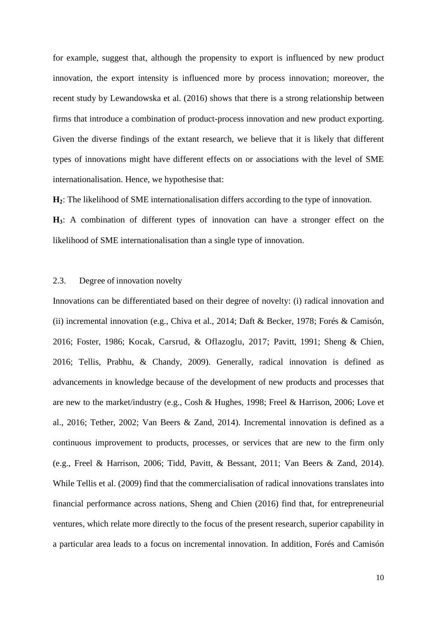for example, suggest that, although the propensity to export is influenced by new product innovation, the export intensity is influenced more by process innovation; moreover, the recent study by Lewandowska et al. (2016) shows that there is a strong relationship between firms that introduce a combination of product-process innovation and new product exporting. Given the diverse findings of the extant research, we believe that it is likely that different types of innovations might have different effects on or associations with the level of SME internationalisation. Hence, we hypothesise that:

**H2**: The likelihood of SME internationalisation differs according to the type of innovation.

**H3**: A combination of different types of innovation can have a stronger effect on the likelihood of SME internationalisation than a single type of innovation.

#### 2.3. Degree of innovation novelty

Innovations can be differentiated based on their degree of novelty: (i) radical innovation and (ii) incremental innovation (e.g., Chiva et al., 2014; Daft & Becker, 1978; Forés & Camisón, 2016; Foster, 1986; Kocak, Carsrud, & Oflazoglu, 2017; Pavitt, 1991; Sheng & Chien, 2016; Tellis, Prabhu, & Chandy, 2009). Generally, radical innovation is defined as advancements in knowledge because of the development of new products and processes that are new to the market/industry (e.g., Cosh & Hughes, 1998; Freel & Harrison, 2006; Love et al., 2016; Tether, 2002; Van Beers & Zand, 2014). Incremental innovation is defined as a continuous improvement to products, processes, or services that are new to the firm only (e.g., Freel & Harrison, 2006; Tidd, Pavitt, & Bessant, 2011; Van Beers & Zand, 2014). While Tellis et al. (2009) find that the commercialisation of radical innovations translates into financial performance across nations, Sheng and Chien (2016) find that, for entrepreneurial ventures, which relate more directly to the focus of the present research, superior capability in a particular area leads to a focus on incremental innovation. In addition, Forés and Camisón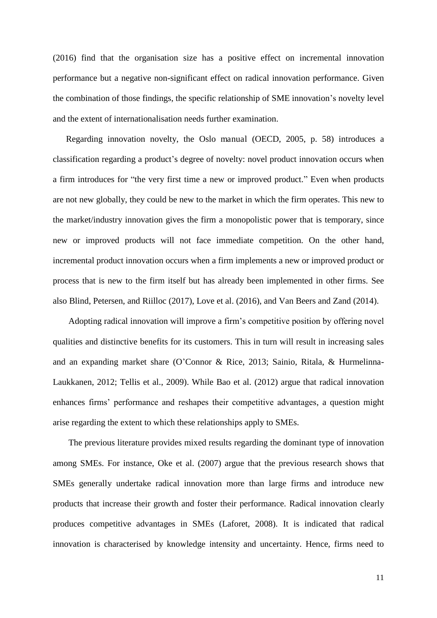(2016) find that the organisation size has a positive effect on incremental innovation performance but a negative non-significant effect on radical innovation performance. Given the combination of those findings, the specific relationship of SME innovation's novelty level and the extent of internationalisation needs further examination.

 Regarding innovation novelty, the Oslo manual (OECD, 2005, p. 58) introduces a classification regarding a product's degree of novelty: novel product innovation occurs when a firm introduces for "the very first time a new or improved product." Even when products are not new globally, they could be new to the market in which the firm operates. This new to the market/industry innovation gives the firm a monopolistic power that is temporary, since new or improved products will not face immediate competition. On the other hand, incremental product innovation occurs when a firm implements a new or improved product or process that is new to the firm itself but has already been implemented in other firms. See also Blind, Petersen, and Riilloc (2017), Love et al. (2016), and Van Beers and Zand (2014).

Adopting radical innovation will improve a firm's competitive position by offering novel qualities and distinctive benefits for its customers. This in turn will result in increasing sales and an expanding market share (O'Connor & Rice, 2013; Sainio, Ritala, & Hurmelinna-Laukkanen, 2012; Tellis et al., 2009). While Bao et al. (2012) argue that radical innovation enhances firms' performance and reshapes their competitive advantages, a question might arise regarding the extent to which these relationships apply to SMEs.

The previous literature provides mixed results regarding the dominant type of innovation among SMEs. For instance, Oke et al. (2007) argue that the previous research shows that SMEs generally undertake radical innovation more than large firms and introduce new products that increase their growth and foster their performance. Radical innovation clearly produces competitive advantages in SMEs (Laforet, 2008). It is indicated that radical innovation is characterised by knowledge intensity and uncertainty. Hence, firms need to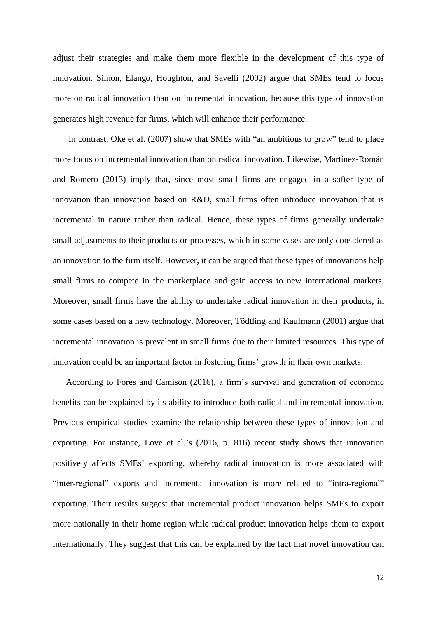adjust their strategies and make them more flexible in the development of this type of innovation. Simon, Elango, Houghton, and Savelli (2002) argue that SMEs tend to focus more on radical innovation than on incremental innovation, because this type of innovation generates high revenue for firms, which will enhance their performance.

In contrast, Oke et al. (2007) show that SMEs with "an ambitious to grow" tend to place more focus on incremental innovation than on radical innovation. Likewise, Martínez-Román and Romero (2013) imply that, since most small firms are engaged in a softer type of innovation than innovation based on R&D, small firms often introduce innovation that is incremental in nature rather than radical. Hence, these types of firms generally undertake small adjustments to their products or processes, which in some cases are only considered as an innovation to the firm itself. However, it can be argued that these types of innovations help small firms to compete in the marketplace and gain access to new international markets. Moreover, small firms have the ability to undertake radical innovation in their products, in some cases based on a new technology. Moreover, Tödtling and Kaufmann (2001) argue that incremental innovation is prevalent in small firms due to their limited resources. This type of innovation could be an important factor in fostering firms' growth in their own markets.

According to Forés and Camisón (2016), a firm's survival and generation of economic benefits can be explained by its ability to introduce both radical and incremental innovation. Previous empirical studies examine the relationship between these types of innovation and exporting. For instance, Love et al.'s (2016, p. 816) recent study shows that innovation positively affects SMEs' exporting, whereby radical innovation is more associated with "inter-regional" exports and incremental innovation is more related to "intra-regional" exporting. Their results suggest that incremental product innovation helps SMEs to export more nationally in their home region while radical product innovation helps them to export internationally. They suggest that this can be explained by the fact that novel innovation can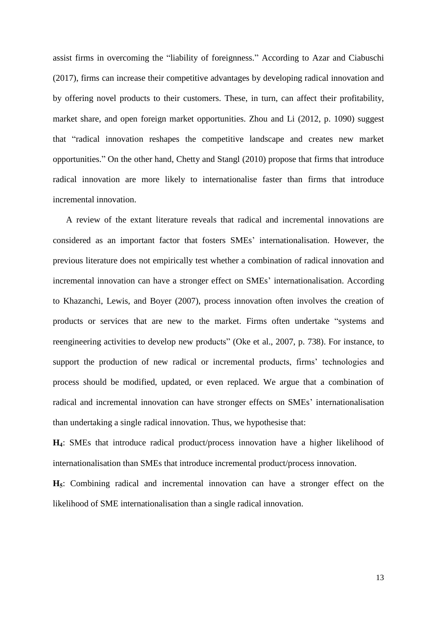assist firms in overcoming the "liability of foreignness." According to Azar and Ciabuschi (2017), firms can increase their competitive advantages by developing radical innovation and by offering novel products to their customers. These, in turn, can affect their profitability, market share, and open foreign market opportunities. Zhou and Li (2012, p. 1090) suggest that "radical innovation reshapes the competitive landscape and creates new market opportunities." On the other hand, Chetty and Stangl (2010) propose that firms that introduce radical innovation are more likely to internationalise faster than firms that introduce incremental innovation.

A review of the extant literature reveals that radical and incremental innovations are considered as an important factor that fosters SMEs' internationalisation. However, the previous literature does not empirically test whether a combination of radical innovation and incremental innovation can have a stronger effect on SMEs' internationalisation. According to Khazanchi, Lewis, and Boyer (2007), process innovation often involves the creation of products or services that are new to the market. Firms often undertake "systems and reengineering activities to develop new products" (Oke et al., 2007, p. 738). For instance, to support the production of new radical or incremental products, firms' technologies and process should be modified, updated, or even replaced. We argue that a combination of radical and incremental innovation can have stronger effects on SMEs' internationalisation than undertaking a single radical innovation. Thus, we hypothesise that:

**H4**: SMEs that introduce radical product/process innovation have a higher likelihood of internationalisation than SMEs that introduce incremental product/process innovation.

**H5**: Combining radical and incremental innovation can have a stronger effect on the likelihood of SME internationalisation than a single radical innovation.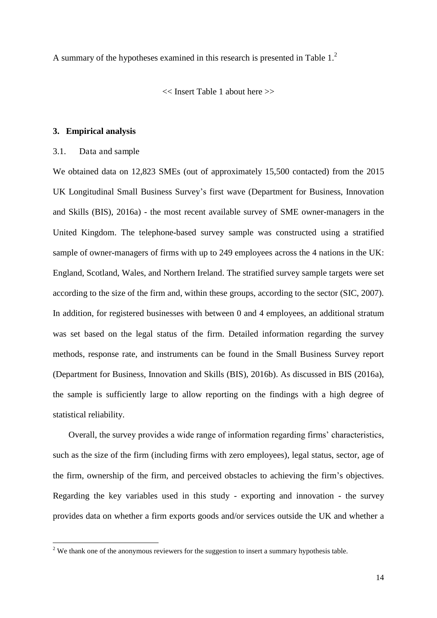A summary of the hypotheses examined in this research is presented in Table  $1<sup>2</sup>$ 

<< Insert Table 1 about here >>

#### **3. Empirical analysis**

#### 3.1. Data and sample

 $\overline{a}$ 

We obtained data on 12,823 SMEs (out of approximately 15,500 contacted) from the 2015 UK Longitudinal Small Business Survey's first wave (Department for Business, Innovation and Skills (BIS), 2016a) - the most recent available survey of SME owner-managers in the United Kingdom. The telephone-based survey sample was constructed using a stratified sample of owner-managers of firms with up to 249 employees across the 4 nations in the UK: England, Scotland, Wales, and Northern Ireland. The stratified survey sample targets were set according to the size of the firm and, within these groups, according to the sector (SIC, 2007). In addition, for registered businesses with between 0 and 4 employees, an additional stratum was set based on the legal status of the firm. Detailed information regarding the survey methods, response rate, and instruments can be found in the Small Business Survey report (Department for Business, Innovation and Skills (BIS), 2016b). As discussed in BIS (2016a), the sample is sufficiently large to allow reporting on the findings with a high degree of statistical reliability.

Overall, the survey provides a wide range of information regarding firms' characteristics, such as the size of the firm (including firms with zero employees), legal status, sector, age of the firm, ownership of the firm, and perceived obstacles to achieving the firm's objectives. Regarding the key variables used in this study - exporting and innovation - the survey provides data on whether a firm exports goods and/or services outside the UK and whether a

 $2$  We thank one of the anonymous reviewers for the suggestion to insert a summary hypothesis table.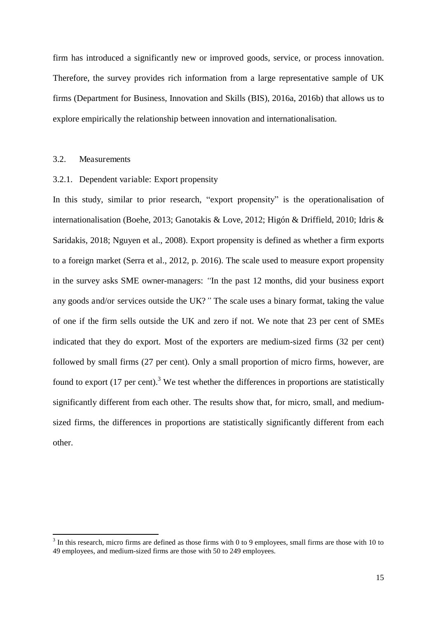firm has introduced a significantly new or improved goods, service, or process innovation. Therefore, the survey provides rich information from a large representative sample of UK firms (Department for Business, Innovation and Skills (BIS), 2016a, 2016b) that allows us to explore empirically the relationship between innovation and internationalisation.

#### 3.2. Measurements

 $\overline{a}$ 

#### <span id="page-15-0"></span>3.2.1. Dependent variable: Export propensity

In this study, similar to prior research, "export propensity" is the operationalisation of internationalisation (Boehe, 2013; Ganotakis & Love, 2012; Higón & Driffield, 2010; Idris & Saridakis, 2018; Nguyen et al., 2008). Export propensity is defined as whether a firm exports to a foreign market (Serra et al., 2012, p. 2016). The scale used to measure export propensity in the survey asks SME owner-managers: *"*In the past 12 months, did your business export any goods and/or services outside the UK?*"* The scale uses a binary format, taking the value of one if the firm sells outside the UK and zero if not. We note that 23 per cent of SMEs indicated that they do export. Most of the exporters are medium-sized firms (32 per cent) followed by small firms (27 per cent). Only a small proportion of micro firms, however, are found to export  $(17 \text{ per cent})$ .<sup>3</sup> We test whether the differences in proportions are statistically significantly different from each other. The results show that, for micro, small, and mediumsized firms, the differences in proportions are statistically significantly different from each other.

 $3$  In this research, micro firms are defined as those firms with 0 to 9 employees, small firms are those with 10 to 49 employees, and medium-sized firms are those with 50 to 249 employees.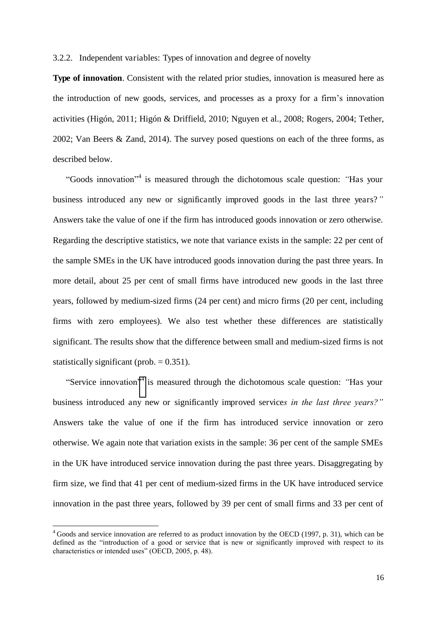3.2.2. Independent variables: Types of innovation and degree of novelty

**Type of innovation**. Consistent with the related prior studies, innovation is measured here as the introduction of new goods, services, and processes as a proxy for a firm's innovation activities (Higón, 2011; Higón & Driffield, 2010; Nguyen et al., 2008; Rogers, 2004; Tether, 2002; Van Beers & Zand, 2014). The survey posed questions on each of the three forms, as described below.

"Goods innovation"<sup>4</sup> is measured through the dichotomous scale question: *"*Has your business introduced any new or significantly improved goods in the last three years?*"* Answers take the value of one if the firm has introduced goods innovation or zero otherwise. Regarding the descriptive statistics, we note that variance exists in the sample: 22 per cent of the sample SMEs in the UK have introduced goods innovation during the past three years. In more detail, about 25 per cent of small firms have introduced new goods in the last three years, followed by medium-sized firms (24 per cent) and micro firms (20 per cent, including firms with zero employees). We also test whether these differences are statistically significant. The results show that the difference between small and medium-sized firms is not statistically significant (prob.  $= 0.351$ ).

"Service innovation["](#page-15-0)<sup>4</sup> is measured through the dichotomous scale question: *"*Has your business introduced any new or significantly improved service*s in the last three years?"* Answers take the value of one if the firm has introduced service innovation or zero otherwise. We again note that variation exists in the sample: 36 per cent of the sample SMEs in the UK have introduced service innovation during the past three years. Disaggregating by firm size, we find that 41 per cent of medium-sized firms in the UK have introduced service innovation in the past three years, followed by 39 per cent of small firms and 33 per cent of

 $\overline{a}$ 

<sup>&</sup>lt;sup>4</sup> Goods and service innovation are referred to as product innovation by the OECD (1997, p. 31), which can be defined as the "introduction of a good or service that is new or significantly improved with respect to its characteristics or intended uses" (OECD, 2005, p. 48).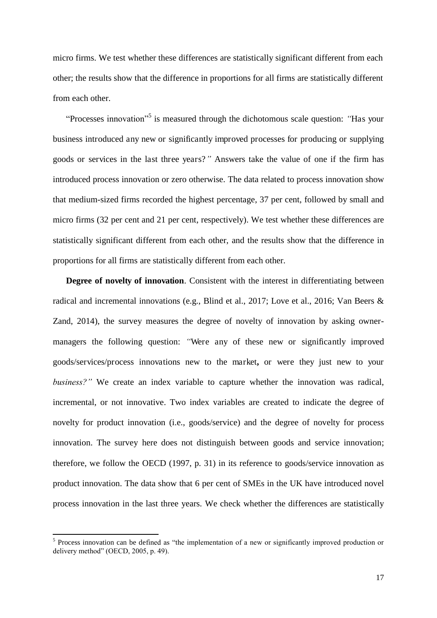micro firms. We test whether these differences are statistically significant different from each other; the results show that the difference in proportions for all firms are statistically different from each other.

"Processes innovation"<sup>5</sup> is measured through the dichotomous scale question: "Has your business introduced any new or significantly improved processes for producing or supplying goods or services in the last three years?*"* Answers take the value of one if the firm has introduced process innovation or zero otherwise. The data related to process innovation show that medium-sized firms recorded the highest percentage, 37 per cent, followed by small and micro firms (32 per cent and 21 per cent, respectively). We test whether these differences are statistically significant different from each other, and the results show that the difference in proportions for all firms are statistically different from each other.

**Degree of novelty of innovation**. Consistent with the interest in differentiating between radical and incremental innovations (e.g., Blind et al., 2017; Love et al., 2016; Van Beers & Zand, 2014), the survey measures the degree of novelty of innovation by asking ownermanagers the following question: *"*Were any of these new or significantly improved goods/services/process innovations new to the market**,** or were they just new to your *business?"* We create an index variable to capture whether the innovation was radical, incremental, or not innovative. Two index variables are created to indicate the degree of novelty for product innovation (i.e., goods/service) and the degree of novelty for process innovation. The survey here does not distinguish between goods and service innovation; therefore, we follow the OECD (1997, p. 31) in its reference to goods/service innovation as product innovation. The data show that 6 per cent of SMEs in the UK have introduced novel process innovation in the last three years. We check whether the differences are statistically

 $\overline{a}$ 

<sup>&</sup>lt;sup>5</sup> Process innovation can be defined as "the implementation of a new or significantly improved production or delivery method" (OECD, 2005, p. 49).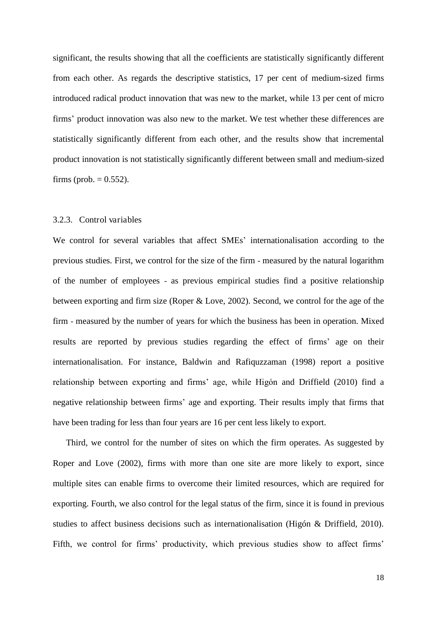significant, the results showing that all the coefficients are statistically significantly different from each other. As regards the descriptive statistics, 17 per cent of medium-sized firms introduced radical product innovation that was new to the market, while 13 per cent of micro firms' product innovation was also new to the market. We test whether these differences are statistically significantly different from each other, and the results show that incremental product innovation is not statistically significantly different between small and medium-sized firms (prob.  $= 0.552$ ).

#### 3.2.3. Control variables

We control for several variables that affect SMEs' internationalisation according to the previous studies. First, we control for the size of the firm - measured by the natural logarithm of the number of employees - as previous empirical studies find a positive relationship between exporting and firm size (Roper & Love, 2002). Second, we control for the age of the firm - measured by the number of years for which the business has been in operation. Mixed results are reported by previous studies regarding the effect of firms' age on their internationalisation. For instance, Baldwin and Rafiquzzaman (1998) report a positive relationship between exporting and firms' age, while Higón and Driffield (2010) find a negative relationship between firms' age and exporting. Their results imply that firms that have been trading for less than four years are 16 per cent less likely to export.

 Third, we control for the number of sites on which the firm operates. As suggested by Roper and Love (2002), firms with more than one site are more likely to export, since multiple sites can enable firms to overcome their limited resources, which are required for exporting. Fourth, we also control for the legal status of the firm, since it is found in previous studies to affect business decisions such as internationalisation (Higón & Driffield, 2010). Fifth, we control for firms' productivity, which previous studies show to affect firms'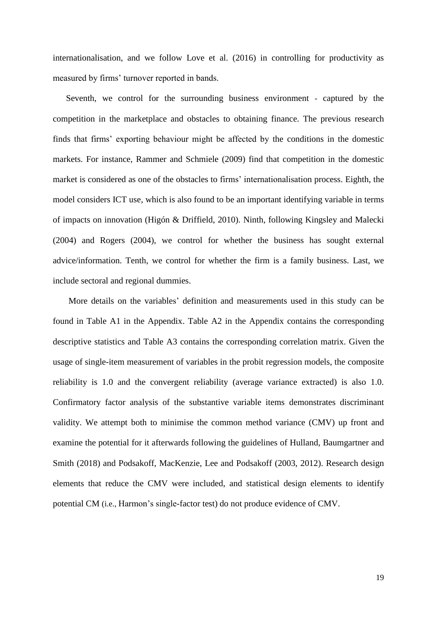internationalisation, and we follow Love et al. (2016) in controlling for productivity as measured by firms' turnover reported in bands.

Seventh, we control for the surrounding business environment - captured by the competition in the marketplace and obstacles to obtaining finance. The previous research finds that firms' exporting behaviour might be affected by the conditions in the domestic markets. For instance, Rammer and Schmiele (2009) find that competition in the domestic market is considered as one of the obstacles to firms' internationalisation process. Eighth, the model considers ICT use, which is also found to be an important identifying variable in terms of impacts on innovation (Higón & Driffield, 2010). Ninth, following Kingsley and Malecki (2004) and Rogers (2004), we control for whether the business has sought external advice/information. Tenth, we control for whether the firm is a family business. Last, we include sectoral and regional dummies.

More details on the variables' definition and measurements used in this study can be found in Table A1 in the Appendix. Table A2 in the Appendix contains the corresponding descriptive statistics and Table A3 contains the corresponding correlation matrix. Given the usage of single-item measurement of variables in the probit regression models, the composite reliability is 1.0 and the convergent reliability (average variance extracted) is also 1.0. Confirmatory factor analysis of the substantive variable items demonstrates discriminant validity. We attempt both to minimise the common method variance (CMV) up front and examine the potential for it afterwards following the guidelines of Hulland, Baumgartner and Smith (2018) and Podsakoff, MacKenzie, Lee and Podsakoff (2003, 2012). Research design elements that reduce the CMV were included, and statistical design elements to identify potential CM (i.e., Harmon's single-factor test) do not produce evidence of CMV.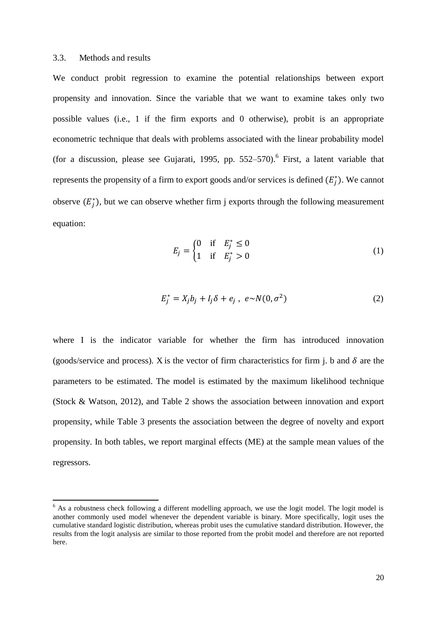#### 3.3. Methods and results

 $\overline{a}$ 

We conduct probit regression to examine the potential relationships between export propensity and innovation. Since the variable that we want to examine takes only two possible values (i.e., 1 if the firm exports and 0 otherwise), probit is an appropriate econometric technique that deals with problems associated with the linear probability model (for a discussion, please see Gujarati, 1995, pp.  $552-570$ ). First, a latent variable that represents the propensity of a firm to export goods and/or services is defined  $(E_j^*)$ . We cannot observe  $(E_j^*)$ , but we can observe whether firm j exports through the following measurement equation:

$$
E_j = \begin{cases} 0 & \text{if } E_j^* \le 0 \\ 1 & \text{if } E_j^* > 0 \end{cases}
$$
 (1)

$$
E_j^* = X_j b_j + I_j \delta + e_j , e \sim N(0, \sigma^2)
$$
 (2)

where I is the indicator variable for whether the firm has introduced innovation (goods/service and process). X is the vector of firm characteristics for firm j. b and  $\delta$  are the parameters to be estimated. The model is estimated by the maximum likelihood technique (Stock & Watson, 2012), and Table 2 shows the association between innovation and export propensity, while Table 3 presents the association between the degree of novelty and export propensity. In both tables, we report marginal effects (ME) at the sample mean values of the regressors.

<sup>&</sup>lt;sup>6</sup> As a robustness check following a different modelling approach, we use the logit model. The logit model is another commonly used model whenever the dependent variable is binary. More specifically, logit uses the cumulative standard logistic distribution, whereas probit uses the cumulative standard distribution. However, the results from the logit analysis are similar to those reported from the probit model and therefore are not reported here.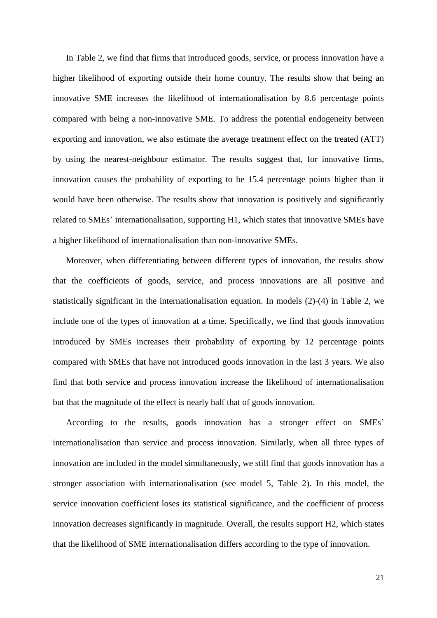In Table 2, we find that firms that introduced goods, service, or process innovation have a higher likelihood of exporting outside their home country. The results show that being an innovative SME increases the likelihood of internationalisation by 8.6 percentage points compared with being a non-innovative SME. To address the potential endogeneity between exporting and innovation, we also estimate the average treatment effect on the treated (ATT) by using the nearest-neighbour estimator. The results suggest that, for innovative firms, innovation causes the probability of exporting to be 15.4 percentage points higher than it would have been otherwise. The results show that innovation is positively and significantly related to SMEs' internationalisation, supporting H1, which states that innovative SMEs have a higher likelihood of internationalisation than non-innovative SMEs.

Moreover, when differentiating between different types of innovation, the results show that the coefficients of goods, service, and process innovations are all positive and statistically significant in the internationalisation equation. In models (2)-(4) in Table 2, we include one of the types of innovation at a time. Specifically, we find that goods innovation introduced by SMEs increases their probability of exporting by 12 percentage points compared with SMEs that have not introduced goods innovation in the last 3 years. We also find that both service and process innovation increase the likelihood of internationalisation but that the magnitude of the effect is nearly half that of goods innovation.

According to the results, goods innovation has a stronger effect on SMEs' internationalisation than service and process innovation. Similarly, when all three types of innovation are included in the model simultaneously, we still find that goods innovation has a stronger association with internationalisation (see model 5, Table 2). In this model, the service innovation coefficient loses its statistical significance, and the coefficient of process innovation decreases significantly in magnitude. Overall, the results support H2, which states that the likelihood of SME internationalisation differs according to the type of innovation.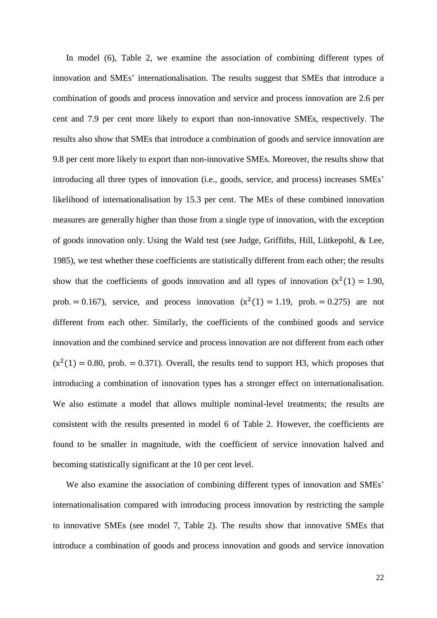In model (6), Table 2, we examine the association of combining different types of innovation and SMEs' internationalisation. The results suggest that SMEs that introduce a combination of goods and process innovation and service and process innovation are 2.6 per cent and 7.9 per cent more likely to export than non-innovative SMEs, respectively. The results also show that SMEs that introduce a combination of goods and service innovation are 9.8 per cent more likely to export than non-innovative SMEs. Moreover, the results show that introducing all three types of innovation (i.e., goods, service, and process) increases SMEs' likelihood of internationalisation by 15.3 per cent. The MEs of these combined innovation measures are generally higher than those from a single type of innovation, with the exception of goods innovation only. Using the Wald test (see Judge, Griffiths, Hill, Lütkepohl, & Lee, 1985), we test whether these coefficients are statistically different from each other; the results show that the coefficients of goods innovation and all types of innovation  $(x^2(1) = 1.90$ , prob.  $= 0.167$ ), service, and process innovation  $(x^2(1) = 1.19$ , prob.  $= 0.275$ ) are not different from each other. Similarly, the coefficients of the combined goods and service innovation and the combined service and process innovation are not different from each other  $(x^{2}(1) = 0.80$ , prob.  $= 0.371$ ). Overall, the results tend to support H3, which proposes that introducing a combination of innovation types has a stronger effect on internationalisation. We also estimate a model that allows multiple nominal-level treatments; the results are consistent with the results presented in model 6 of Table 2. However, the coefficients are found to be smaller in magnitude, with the coefficient of service innovation halved and becoming statistically significant at the 10 per cent level.

We also examine the association of combining different types of innovation and SMEs' internationalisation compared with introducing process innovation by restricting the sample to innovative SMEs (see model 7, Table 2). The results show that innovative SMEs that introduce a combination of goods and process innovation and goods and service innovation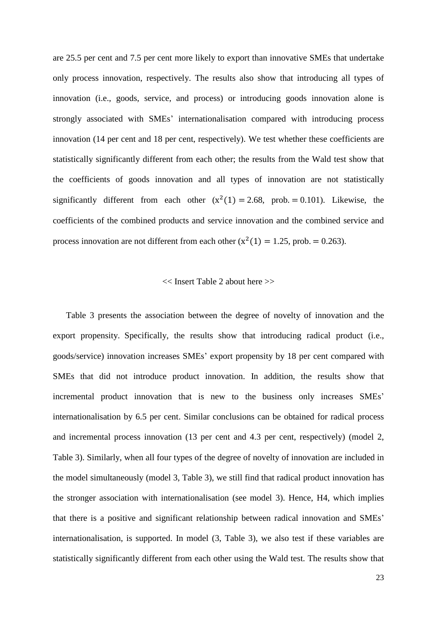are 25.5 per cent and 7.5 per cent more likely to export than innovative SMEs that undertake only process innovation, respectively. The results also show that introducing all types of innovation (i.e., goods, service, and process) or introducing goods innovation alone is strongly associated with SMEs' internationalisation compared with introducing process innovation (14 per cent and 18 per cent, respectively). We test whether these coefficients are statistically significantly different from each other; the results from the Wald test show that the coefficients of goods innovation and all types of innovation are not statistically significantly different from each other  $(x^2(1) = 2.68, \text{prob.} = 0.101)$ . Likewise, the coefficients of the combined products and service innovation and the combined service and process innovation are not different from each other  $(x^2(1) = 1.25$ , prob. = 0.263).

#### << Insert Table 2 about here >>

Table 3 presents the association between the degree of novelty of innovation and the export propensity. Specifically, the results show that introducing radical product (i.e., goods/service) innovation increases SMEs' export propensity by 18 per cent compared with SMEs that did not introduce product innovation. In addition, the results show that incremental product innovation that is new to the business only increases SMEs' internationalisation by 6.5 per cent. Similar conclusions can be obtained for radical process and incremental process innovation (13 per cent and 4.3 per cent, respectively) (model 2, Table 3). Similarly, when all four types of the degree of novelty of innovation are included in the model simultaneously (model 3, Table 3), we still find that radical product innovation has the stronger association with internationalisation (see model 3). Hence, H4, which implies that there is a positive and significant relationship between radical innovation and SMEs' internationalisation, is supported. In model (3, Table 3), we also test if these variables are statistically significantly different from each other using the Wald test. The results show that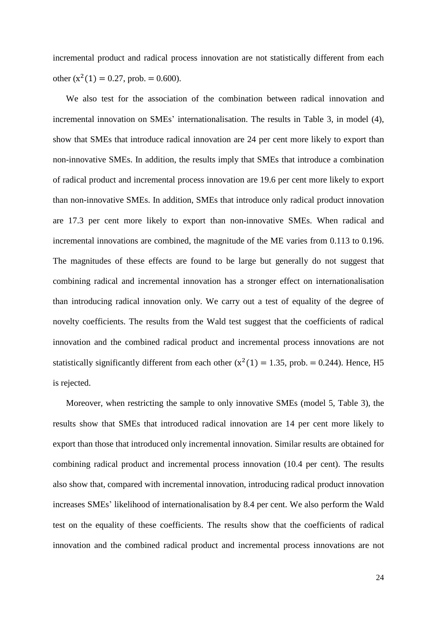incremental product and radical process innovation are not statistically different from each other  $(x^2(1) = 0.27$ , prob. = 0.600).

We also test for the association of the combination between radical innovation and incremental innovation on SMEs' internationalisation. The results in Table 3, in model (4), show that SMEs that introduce radical innovation are 24 per cent more likely to export than non-innovative SMEs. In addition, the results imply that SMEs that introduce a combination of radical product and incremental process innovation are 19.6 per cent more likely to export than non-innovative SMEs. In addition, SMEs that introduce only radical product innovation are 17.3 per cent more likely to export than non-innovative SMEs. When radical and incremental innovations are combined, the magnitude of the ME varies from 0.113 to 0.196. The magnitudes of these effects are found to be large but generally do not suggest that combining radical and incremental innovation has a stronger effect on internationalisation than introducing radical innovation only. We carry out a test of equality of the degree of novelty coefficients. The results from the Wald test suggest that the coefficients of radical innovation and the combined radical product and incremental process innovations are not statistically significantly different from each other  $(x^2(1) = 1.35$ , prob. = 0.244). Hence, H5 is rejected.

Moreover, when restricting the sample to only innovative SMEs (model 5, Table 3), the results show that SMEs that introduced radical innovation are 14 per cent more likely to export than those that introduced only incremental innovation. Similar results are obtained for combining radical product and incremental process innovation (10.4 per cent). The results also show that, compared with incremental innovation, introducing radical product innovation increases SMEs' likelihood of internationalisation by 8.4 per cent. We also perform the Wald test on the equality of these coefficients. The results show that the coefficients of radical innovation and the combined radical product and incremental process innovations are not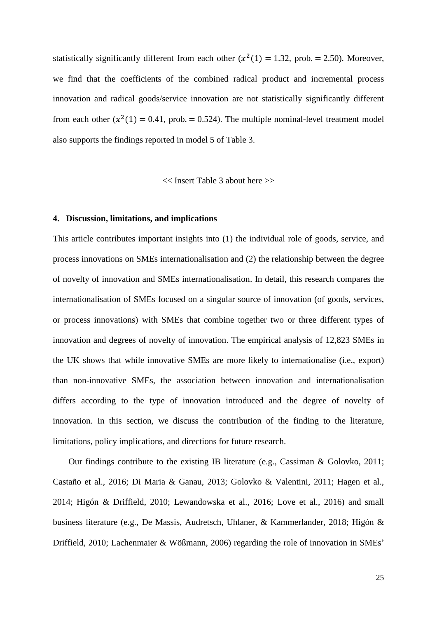statistically significantly different from each other  $(x^2(1) = 1.32, \text{prob.} = 2.50)$ . Moreover, we find that the coefficients of the combined radical product and incremental process innovation and radical goods/service innovation are not statistically significantly different from each other  $(x^2(1) = 0.41$ , prob. = 0.524). The multiple nominal-level treatment model also supports the findings reported in model 5 of Table 3.

<< Insert Table 3 about here >>

#### **4. Discussion, limitations, and implications**

This article contributes important insights into (1) the individual role of goods, service, and process innovations on SMEs internationalisation and (2) the relationship between the degree of novelty of innovation and SMEs internationalisation. In detail, this research compares the internationalisation of SMEs focused on a singular source of innovation (of goods, services, or process innovations) with SMEs that combine together two or three different types of innovation and degrees of novelty of innovation. The empirical analysis of 12,823 SMEs in the UK shows that while innovative SMEs are more likely to internationalise (i.e., export) than non-innovative SMEs, the association between innovation and internationalisation differs according to the type of innovation introduced and the degree of novelty of innovation. In this section, we discuss the contribution of the finding to the literature, limitations, policy implications, and directions for future research.

Our findings contribute to the existing IB literature (e.g., Cassiman & Golovko, 2011; Castaño et al., 2016; Di Maria & Ganau, 2013; Golovko & Valentini, 2011; Hagen et al., 2014; Higón & Driffield, 2010; Lewandowska et al., 2016; Love et al., 2016) and small business literature (e.g., De Massis, Audretsch, Uhlaner, & Kammerlander, 2018; Higón & Driffield, 2010; Lachenmaier & Wößmann, 2006) regarding the role of innovation in SMEs'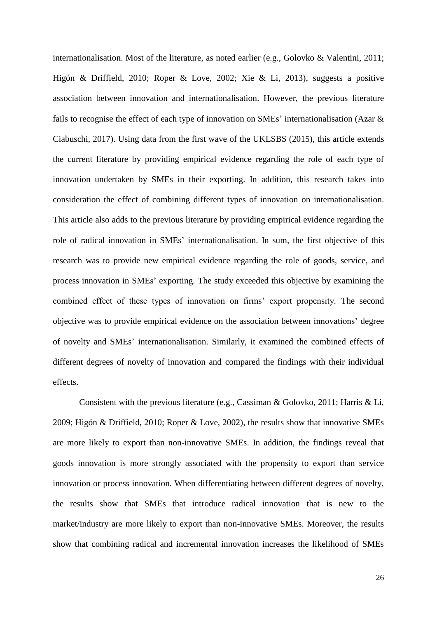internationalisation. Most of the literature, as noted earlier (e.g., Golovko & Valentini, 2011; Higón & Driffield, 2010; Roper & Love, 2002; Xie & Li, 2013), suggests a positive association between innovation and internationalisation. However, the previous literature fails to recognise the effect of each type of innovation on SMEs' internationalisation (Azar & Ciabuschi, 2017). Using data from the first wave of the UKLSBS (2015), this article extends the current literature by providing empirical evidence regarding the role of each type of innovation undertaken by SMEs in their exporting. In addition, this research takes into consideration the effect of combining different types of innovation on internationalisation. This article also adds to the previous literature by providing empirical evidence regarding the role of radical innovation in SMEs' internationalisation. In sum, the first objective of this research was to provide new empirical evidence regarding the role of goods, service, and process innovation in SMEs' exporting. The study exceeded this objective by examining the combined effect of these types of innovation on firms' export propensity. The second objective was to provide empirical evidence on the association between innovations' degree of novelty and SMEs' internationalisation. Similarly, it examined the combined effects of different degrees of novelty of innovation and compared the findings with their individual effects.

Consistent with the previous literature (e.g., Cassiman & Golovko, 2011; Harris & Li, 2009; Higón & Driffield, 2010; Roper & Love, 2002), the results show that innovative SMEs are more likely to export than non-innovative SMEs. In addition, the findings reveal that goods innovation is more strongly associated with the propensity to export than service innovation or process innovation. When differentiating between different degrees of novelty, the results show that SMEs that introduce radical innovation that is new to the market/industry are more likely to export than non-innovative SMEs. Moreover, the results show that combining radical and incremental innovation increases the likelihood of SMEs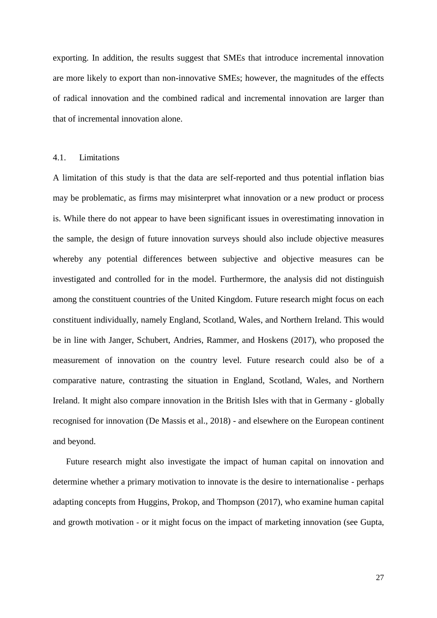exporting. In addition, the results suggest that SMEs that introduce incremental innovation are more likely to export than non-innovative SMEs; however, the magnitudes of the effects of radical innovation and the combined radical and incremental innovation are larger than that of incremental innovation alone.

#### 4.1. Limitations

A limitation of this study is that the data are self-reported and thus potential inflation bias may be problematic, as firms may misinterpret what innovation or a new product or process is. While there do not appear to have been significant issues in overestimating innovation in the sample, the design of future innovation surveys should also include objective measures whereby any potential differences between subjective and objective measures can be investigated and controlled for in the model. Furthermore, the analysis did not distinguish among the constituent countries of the United Kingdom. Future research might focus on each constituent individually, namely England, Scotland, Wales, and Northern Ireland. This would be in line with Janger, Schubert, Andries, Rammer, and Hoskens (2017), who proposed the measurement of innovation on the country level. Future research could also be of a comparative nature, contrasting the situation in England, Scotland, Wales, and Northern Ireland. It might also compare innovation in the British Isles with that in Germany - globally recognised for innovation (De Massis et al., 2018) - and elsewhere on the European continent and beyond.

Future research might also investigate the impact of human capital on innovation and determine whether a primary motivation to innovate is the desire to internationalise - perhaps adapting concepts from Huggins, Prokop, and Thompson (2017), who examine human capital and growth motivation - or it might focus on the impact of marketing innovation (see Gupta,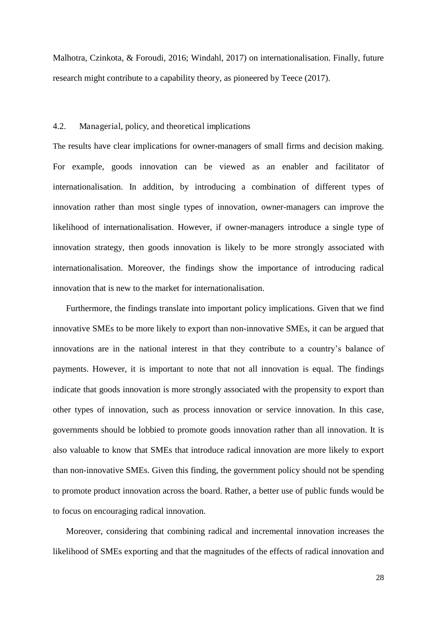Malhotra, Czinkota, & Foroudi, 2016; Windahl, 2017) on internationalisation. Finally, future research might contribute to a capability theory, as pioneered by Teece (2017).

#### 4.2. Managerial, policy, and theoretical implications

The results have clear implications for owner-managers of small firms and decision making. For example, goods innovation can be viewed as an enabler and facilitator of internationalisation. In addition, by introducing a combination of different types of innovation rather than most single types of innovation, owner-managers can improve the likelihood of internationalisation. However, if owner-managers introduce a single type of innovation strategy, then goods innovation is likely to be more strongly associated with internationalisation. Moreover, the findings show the importance of introducing radical innovation that is new to the market for internationalisation.

Furthermore, the findings translate into important policy implications. Given that we find innovative SMEs to be more likely to export than non-innovative SMEs, it can be argued that innovations are in the national interest in that they contribute to a country's balance of payments. However, it is important to note that not all innovation is equal. The findings indicate that goods innovation is more strongly associated with the propensity to export than other types of innovation, such as process innovation or service innovation. In this case, governments should be lobbied to promote goods innovation rather than all innovation. It is also valuable to know that SMEs that introduce radical innovation are more likely to export than non-innovative SMEs. Given this finding, the government policy should not be spending to promote product innovation across the board. Rather, a better use of public funds would be to focus on encouraging radical innovation.

 Moreover, considering that combining radical and incremental innovation increases the likelihood of SMEs exporting and that the magnitudes of the effects of radical innovation and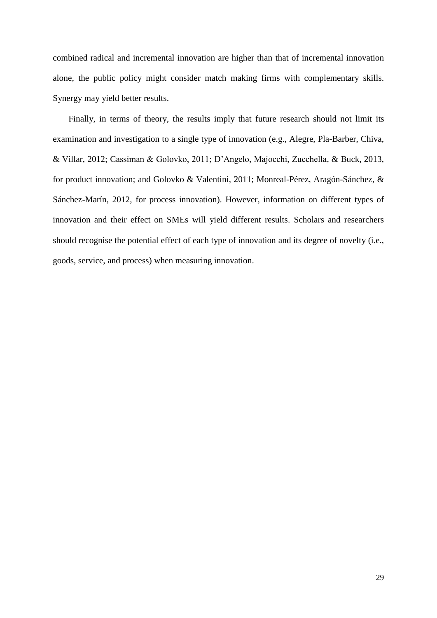combined radical and incremental innovation are higher than that of incremental innovation alone, the public policy might consider match making firms with complementary skills. Synergy may yield better results.

Finally, in terms of theory, the results imply that future research should not limit its examination and investigation to a single type of innovation (e.g., Alegre, Pla-Barber, Chiva, & Villar, 2012; Cassiman & Golovko, 2011; D'Angelo, Majocchi, Zucchella, & Buck, 2013, for product innovation; and Golovko & Valentini, 2011; Monreal-Pérez, Aragón-Sánchez, & Sánchez-Marín, 2012, for process innovation). However, information on different types of innovation and their effect on SMEs will yield different results. Scholars and researchers should recognise the potential effect of each type of innovation and its degree of novelty (i.e., goods, service, and process) when measuring innovation.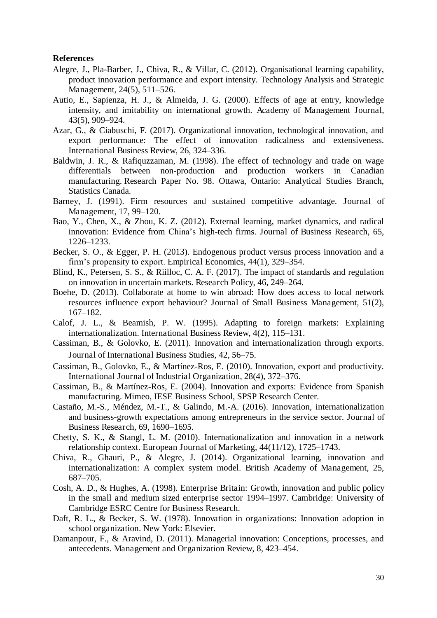#### **References**

- Alegre, J., Pla-Barber, J., Chiva, R., & Villar, C. (2012). Organisational learning capability, product innovation performance and export intensity. Technology Analysis and Strategic Management, 24(5), 511–526.
- Autio, E., Sapienza, H. J., & Almeida, J. G. (2000). Effects of age at entry, knowledge intensity, and imitability on international growth. Academy of Management Journal, 43(5), 909–924.
- Azar, G., & Ciabuschi, F. (2017). Organizational innovation, technological innovation, and export performance: The effect of innovation radicalness and extensiveness. International Business Review, 26, 324–336.
- Baldwin, J. R., & Rafiquzzaman, M. (1998). The effect of technology and trade on wage differentials between non-production and production workers in Canadian manufacturing. Research Paper No. 98. Ottawa, Ontario: Analytical Studies Branch, Statistics Canada.
- Barney, J. (1991). Firm resources and sustained competitive advantage. Journal of Management, 17, 99–120.
- Bao, Y., Chen, X., & Zhou, K. Z. (2012). External learning, market dynamics, and radical innovation: Evidence from China's high-tech firms. Journal of Business Research, 65, 1226–1233.
- Becker, S. O., & Egger, P. H. (2013). Endogenous product versus process innovation and a firm's propensity to export. Empirical Economics, 44(1), 329–354.
- Blind, K., Petersen, S. S., & Riilloc, C. A. F. (2017). The impact of standards and regulation on innovation in uncertain markets. Research Policy, 46, 249–264.
- Boehe, D. (2013). Collaborate at home to win abroad: How does access to local network resources influence export behaviour? Journal of Small Business Management, 51(2), 167–182.
- Calof, J. L., & Beamish, P. W. (1995). Adapting to foreign markets: Explaining internationalization. International Business Review, 4(2), 115–131.
- Cassiman, B., & Golovko, E. (2011). Innovation and internationalization through exports. Journal of International Business Studies, 42, 56–75.
- Cassiman, B., Golovko, E., & Martínez-Ros, E. (2010). Innovation, export and productivity. International Journal of Industrial Organization, 28(4), 372–376.
- Cassiman, B., & Martínez-Ros, E. (2004). Innovation and exports: Evidence from Spanish manufacturing. Mimeo, IESE Business School, SPSP Research Center.
- Castaño, M.-S., Méndez, M.-T., & Galindo, M.-A. (2016). Innovation, internationalization and business-growth expectations among entrepreneurs in the service sector. Journal of Business Research, 69, 1690–1695.
- Chetty, S. K., & Stangl, L. M. (2010). Internationalization and innovation in a network relationship context. European Journal of Marketing, 44(11/12), 1725–1743.
- Chiva, R., Ghauri, P., & Alegre, J. (2014). Organizational learning, innovation and internationalization: A complex system model. British Academy of Management, 25, 687–705.
- Cosh, A. D., & Hughes, A. (1998). Enterprise Britain: Growth, innovation and public policy in the small and medium sized enterprise sector 1994*–*1997. Cambridge: University of Cambridge ESRC Centre for Business Research.
- Daft, R. L., & Becker, S. W. (1978). Innovation in organizations: Innovation adoption in school organization. New York: Elsevier.
- Damanpour, F., & Aravind, D. (2011). Managerial innovation: Conceptions, processes, and antecedents. Management and Organization Review, 8, 423–454.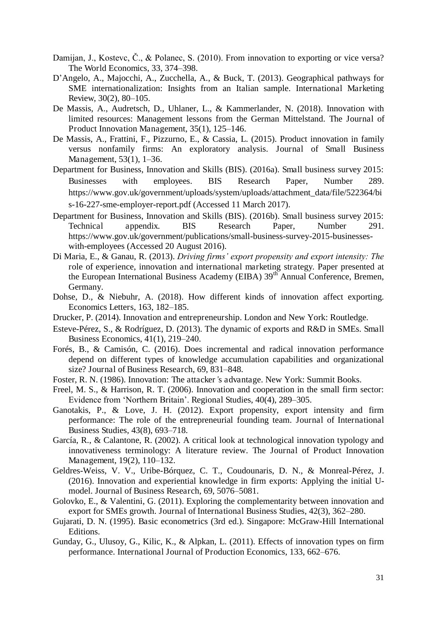- Damijan, J., Kostevc, Č., & Polanec, S. (2010). From innovation to exporting or vice versa? The World Economics, 33, 374–398.
- D'Angelo, A., Majocchi, A., Zucchella, A., & Buck, T. (2013). Geographical pathways for SME internationalization: Insights from an Italian sample. International Marketing Review, 30(2), 80–105.
- De Massis, A., Audretsch, D., Uhlaner, L., & Kammerlander, N. (2018). Innovation with limited resources: Management lessons from the German Mittelstand. The Journal of Product Innovation Management, 35(1), 125–146.
- De Massis, A., Frattini, F., Pizzurno, E., & Cassia, L. (2015). Product innovation in family versus nonfamily firms: An exploratory analysis. Journal of Small Business Management, 53(1), 1–36.
- Department for Business, Innovation and Skills (BIS). (2016a). Small business survey 2015: Businesses with employees. BIS Research Paper, Number 289. https://www.gov.uk/government/uploads/system/uploads/attachment\_data/file/522364/bi s-16-227-sme-employer-report.pdf (Accessed 11 March 2017).
- Department for Business, Innovation and Skills (BIS). (2016b). Small business survey 2015: Technical appendix. BIS Research Paper, Number 291. https://www.gov.uk/government/publications/small-business-survey-2015-businesseswith-employees (Accessed 20 August 2016).
- Di Maria, E., & Ganau, R. (2013). *Driving firms' export propensity and export intensity: The*  role of experience, innovation and international marketing strategy. Paper presented at the European International Business Academy (EIBA) 39<sup>th</sup> Annual Conference, Bremen, Germany.
- Dohse, D., & Niebuhr, A. (2018). How different kinds of innovation affect exporting. Economics Letters, 163, 182–185.
- Drucker, P. (2014). Innovation and entrepreneurship. London and New York: Routledge.
- Esteve-Pérez, S., & Rodríguez, D. (2013). The dynamic of exports and R&D in SMEs. Small Business Economics, 41(1), 219–240.
- Forés, B., & Camisón, C. (2016). Does incremental and radical innovation performance depend on different types of knowledge accumulation capabilities and organizational size? Journal of Business Research, 69, 831–848.
- Foster, R. N. (1986). Innovation: The attacker*'*s advantage. New York: Summit Books.
- Freel, M. S., & Harrison, R. T. (2006). Innovation and cooperation in the small firm sector: Evidence from 'Northern Britain'. Regional Studies, 40(4), 289–305.
- Ganotakis, P., & Love, J. H. (2012). Export propensity, export intensity and firm performance: The role of the entrepreneurial founding team. Journal of International Business Studies, 43(8), 693–718.
- García, R., & Calantone, R. (2002). A critical look at technological innovation typology and innovativeness terminology: A literature review. The Journal of Product Innovation Management, 19(2), 110–132.
- Geldres-Weiss, V. V., Uribe-Bórquez, C. T., Coudounaris, D. N., & Monreal-Pérez, J. (2016). Innovation and experiential knowledge in firm exports: Applying the initial Umodel. Journal of Business Research, 69, 5076–5081.
- Golovko, E., & Valentini, G. (2011). Exploring the complementarity between innovation and export for SMEs growth. Journal of International Business Studies, 42(3), 362–280.
- Gujarati, D. N. (1995). Basic econometrics (3rd ed.). Singapore: McGraw-Hill International Editions.
- Gunday, G., Ulusoy, G., Kilic, K., & Alpkan, L. (2011). Effects of innovation types on firm performance. International Journal of Production Economics, 133, 662–676.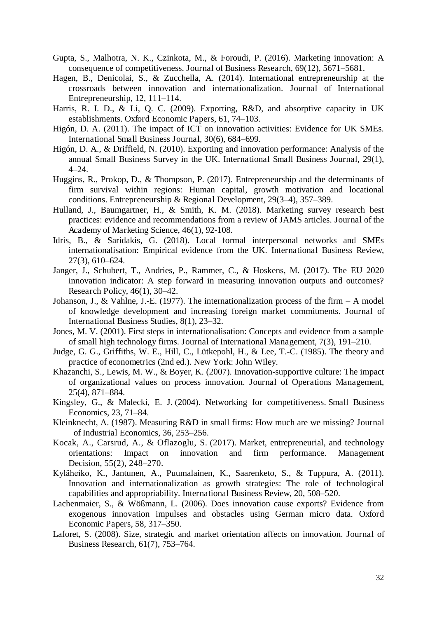- Gupta, S., Malhotra, N. K., Czinkota, M., & Foroudi, P. (2016). Marketing innovation: A consequence of competitiveness. Journal of Business Research, 69(12), 5671–5681.
- Hagen, B., Denicolai, S., & Zucchella, A. (2014). International entrepreneurship at the crossroads between innovation and internationalization. Journal of International Entrepreneurship, 12, 111–114.
- Harris, R. I. D., & Li, Q. C. (2009). Exporting, R&D, and absorptive capacity in UK establishments. Oxford Economic Papers, 61, 74–103.
- Higón, D. A. (2011). The impact of ICT on innovation activities: Evidence for UK SMEs. International Small Business Journal, 30(6), 684–699.
- Higón, D. A., & Driffield, N. (2010). Exporting and innovation performance: Analysis of the annual Small Business Survey in the UK. International Small Business Journal, 29(1), 4–24.
- Huggins, R., Prokop, D., & Thompson, P. (2017). Entrepreneurship and the determinants of firm survival within regions: Human capital, growth motivation and locational conditions. Entrepreneurship & Regional Development, 29(3–4), 357–389.
- Hulland, J., Baumgartner, H., & Smith, K. M. (2018). Marketing survey research best practices: evidence and recommendations from a review of JAMS articles. Journal of the Academy of Marketing Science, 46(1), 92-108.
- Idris, B., & Saridakis, G. (2018). Local formal interpersonal networks and SMEs internationalisation: Empirical evidence from the UK. International Business Review, 27(3), 610–624.
- Janger, J., Schubert, T., Andries, P., Rammer, C., & Hoskens, M. (2017). The EU 2020 innovation indicator: A step forward in measuring innovation outputs and outcomes? Research Policy, 46(1), 30–42.
- Johanson, J., & Vahlne, J.-E. (1977). The internationalization process of the firm  $A$  model of knowledge development and increasing foreign market commitments. Journal of International Business Studies, 8(1), 23–32.
- Jones, M. V. (2001). First steps in internationalisation: Concepts and evidence from a sample of small high technology firms. Journal of International Management, 7(3), 191–210.
- Judge, G. G., Griffiths, W. E., Hill, C., Lütkepohl, H., & Lee, T.-C. (1985). The theory and practice of econometrics (2nd ed.). New York: John Wiley.
- Khazanchi, S., Lewis, M. W., & Boyer, K. (2007). Innovation-supportive culture: The impact of organizational values on process innovation. Journal of Operations Management, 25(4), 871–884.
- Kingsley, G., & Malecki, E. J. (2004). Networking for competitiveness. Small Business Economics, 23, 71–84.
- Kleinknecht, A. (1987). Measuring R&D in small firms: How much are we missing? Journal of Industrial Economics, 36, 253–256.
- Kocak, A., Carsrud, A., & Oflazoglu, S. (2017). Market, entrepreneurial, and technology orientations: Impact on innovation and firm performance. Management Decision, 55(2), 248–270.
- Kyl̈heiko, K., Jantunen, A., Puumalainen, K., Saarenketo, S., & Tuppura, A. (2011). Innovation and internationalization as growth strategies: The role of technological capabilities and appropriability. International Business Review, 20, 508–520.
- Lachenmaier, S., & Wößmann, L. (2006). Does innovation cause exports? Evidence from exogenous innovation impulses and obstacles using German micro data. Oxford Economic Papers, 58, 317–350.
- Laforet, S. (2008). Size, strategic and market orientation affects on innovation. Journal of Business Research, 61(7), 753–764.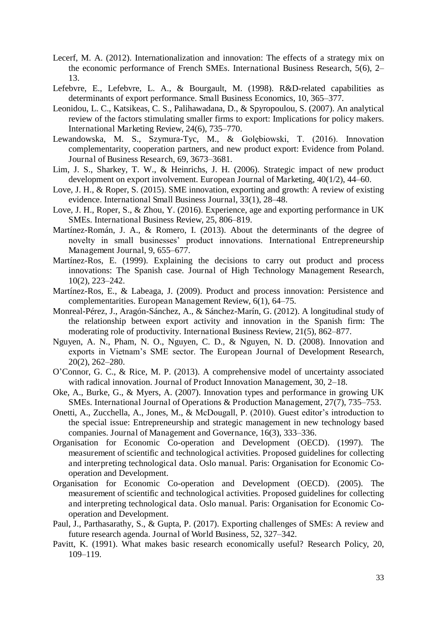- Lecerf, M. A. (2012). Internationalization and innovation: The effects of a strategy mix on the economic performance of French SMEs. International Business Research, 5(6), 2– 13.
- Lefebvre, E., Lefebvre, L. A., & Bourgault, M. (1998). R&D-related capabilities as determinants of export performance. Small Business Economics, 10, 365–377.
- Leonidou, L. C., Katsikeas, C. S., Palihawadana, D., & Spyropoulou, S. (2007). An analytical review of the factors stimulating smaller firms to export: Implications for policy makers. International Marketing Review, 24(6), 735–770.
- Lewandowska, M. S., Szymura-Tyc, M., & Golębiowski, T. (2016). Innovation complementarity, cooperation partners, and new product export: Evidence from Poland. Journal of Business Research, 69, 3673–3681.
- Lim, J. S., Sharkey, T. W., & Heinrichs, J. H. (2006). Strategic impact of new product development on export involvement. European Journal of Marketing, 40(1/2), 44–60.
- Love, J. H., & Roper, S. (2015). SME innovation, exporting and growth: A review of existing evidence. International Small Business Journal, 33(1), 28–48.
- Love, J. H., Roper, S., & Zhou, Y. (2016). Experience, age and exporting performance in UK SMEs. International Business Review, 25, 806–819.
- Martínez-Román, J. A., & Romero, I. (2013). About the determinants of the degree of novelty in small businesses' product innovations. International Entrepreneurship Management Journal, 9, 655–677.
- Martínez-Ros, E. (1999). Explaining the decisions to carry out product and process innovations: The Spanish case. Journal of High Technology Management Research, 10(2), 223–242.
- Martínez-Ros, E., & Labeaga, J. (2009). Product and process innovation: Persistence and complementarities. European Management Review, 6(1), 64–75.
- Monreal-Pérez, J., Aragón-Sánchez, A., & Sánchez-Marín, G. (2012). A longitudinal study of the relationship between export activity and innovation in the Spanish firm: The moderating role of productivity. International Business Review, 21(5), 862–877.
- Nguyen, A. N., Pham, N. O., Nguyen, C. D., & Nguyen, N. D. (2008). Innovation and exports in Vietnam's SME sector. The European Journal of Development Research, 20(2), 262–280.
- O'Connor, G. C., & Rice, M. P. (2013). A comprehensive model of uncertainty associated with radical innovation. Journal of Product Innovation Management, 30, 2–18.
- Oke, A., Burke, G., & Myers, A. (2007). Innovation types and performance in growing UK SMEs. International Journal of Operations & Production Management, 27(7), 735–753.
- Onetti, A., Zucchella, A., Jones, M., & McDougall, P. (2010). Guest editor's introduction to the special issue: Entrepreneurship and strategic management in new technology based companies. Journal of Management and Governance, 16(3), 333–336.
- Organisation for Economic Co-operation and Development (OECD). (1997). The measurement of scientific and technological activities. Proposed guidelines for collecting and interpreting technological data. Oslo manual. Paris: Organisation for Economic Cooperation and Development.
- Organisation for Economic Co-operation and Development (OECD). (2005). The measurement of scientific and technological activities. Proposed guidelines for collecting and interpreting technological data. Oslo manual. Paris: Organisation for Economic Cooperation and Development.
- Paul, J., Parthasarathy, S., & Gupta, P. (2017). Exporting challenges of SMEs: A review and future research agenda. Journal of World Business, 52, 327–342.
- Pavitt, K. (1991). What makes basic research economically useful? Research Policy, 20, 109–119.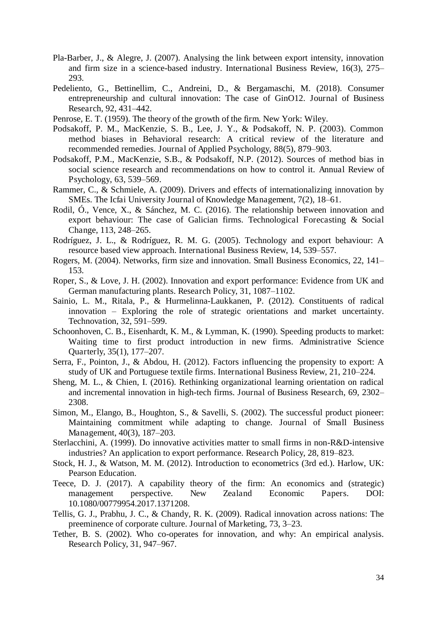- Pla-Barber, J., & Alegre, J. (2007). Analysing the link between export intensity, innovation and firm size in a science-based industry. International Business Review, 16(3), 275– 293.
- Pedeliento, G., Bettinellim, C., Andreini, D., & Bergamaschi, M. (2018). Consumer entrepreneurship and cultural innovation: The case of GinO12. Journal of Business Research, 92, 431–442.
- Penrose, E. T. (1959). The theory of the growth of the firm. New York: Wiley.
- Podsakoff, P. M., MacKenzie, S. B., Lee, J. Y., & Podsakoff, N. P. (2003). Common method biases in Behavioral research: A critical review of the literature and recommended remedies. Journal of Applied Psychology, 88(5), 879–903.
- Podsakoff, P.M., MacKenzie, S.B., & Podsakoff, N.P. (2012). Sources of method bias in social science research and recommendations on how to control it. Annual Review of Psychology, 63, 539–569.
- Rammer, C., & Schmiele, A. (2009). Drivers and effects of internationalizing innovation by SMEs. The Icfai University Journal of Knowledge Management, 7(2), 18–61.
- Rodil, Ó., Vence, X., & Sánchez, M. C. (2016). The relationship between innovation and export behaviour: The case of Galician firms. Technological Forecasting & Social Change, 113, 248–265.
- Rodríguez, J. L., & Rodríguez, R. M. G. (2005). Technology and export behaviour: A resource based view approach. International Business Review, 14, 539–557.
- Rogers, M. (2004). Networks, firm size and innovation. Small Business Economics, 22, 141– 153.
- Roper, S., & Love, J. H. (2002). Innovation and export performance: Evidence from UK and German manufacturing plants. Research Policy, 31, 1087–1102.
- Sainio, L. M., Ritala, P., & Hurmelinna-Laukkanen, P. (2012). Constituents of radical innovation – Exploring the role of strategic orientations and market uncertainty. Technovation, 32, 591–599.
- Schoonhoven, C. B., Eisenhardt, K. M., & Lymman, K. (1990). Speeding products to market: Waiting time to first product introduction in new firms. Administrative Science Quarterly, 35(1), 177–207.
- Serra, F., Pointon, J., & Abdou, H. (2012). Factors influencing the propensity to export: A study of UK and Portuguese textile firms. International Business Review, 21, 210–224.
- Sheng, M. L., & Chien, I. (2016). Rethinking organizational learning orientation on radical and incremental innovation in high-tech firms. Journal of Business Research, 69, 2302– 2308.
- Simon, M., Elango, B., Houghton, S., & Savelli, S. (2002). The successful product pioneer: Maintaining commitment while adapting to change. Journal of Small Business Management, 40(3), 187–203.
- Sterlacchini, A. (1999). Do innovative activities matter to small firms in non-R&D-intensive industries? An application to export performance. Research Policy, 28, 819–823.
- Stock, H. J., & Watson, M. M. (2012). Introduction to econometrics (3rd ed.). Harlow, UK: Pearson Education.
- Teece, D. J. (2017). A capability theory of the firm: An economics and (strategic) management perspective. New Zealand Economic Papers. DOI: 10.1080/00779954.2017.1371208.
- Tellis, G. J., Prabhu, J. C., & Chandy, R. K. (2009). Radical innovation across nations: The preeminence of corporate culture. Journal of Marketing, 73, 3–23.
- Tether, B. S. (2002). Who co-operates for innovation, and why: An empirical analysis. Research Policy, 31, 947–967.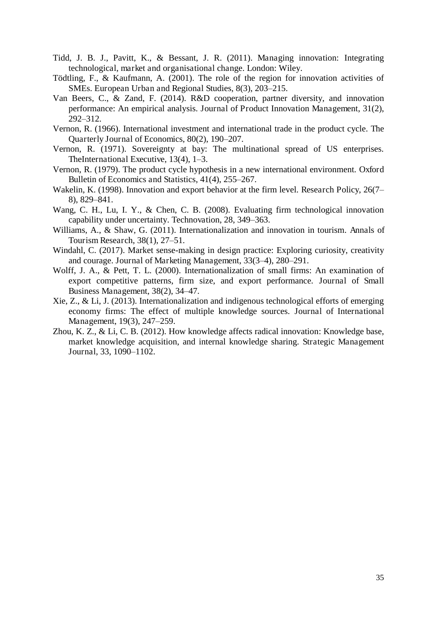- Tidd, J. B. J., Pavitt, K., & Bessant, J. R. (2011). Managing innovation: Integrating technological, market and organisational change. London: Wiley.
- Tödtling, F., & Kaufmann, A. (2001). The role of the region for innovation activities of SMEs. European Urban and Regional Studies, 8(3), 203–215.
- Van Beers, C., & Zand, F. (2014). R&D cooperation, partner diversity, and innovation performance: An empirical analysis. Journal of Product Innovation Management, 31(2), 292–312.
- Vernon, R. (1966). International investment and international trade in the product cycle. The Quarterly Journal of Economics, 80(2), 190–207.
- Vernon, R. (1971). Sovereignty at bay: The multinational spread of US enterprises. TheInternational Executive, 13(4), 1–3.
- Vernon, R. (1979). The product cycle hypothesis in a new international environment. Oxford Bulletin of Economics and Statistics, 41(4), 255–267.
- Wakelin, K. (1998). Innovation and export behavior at the firm level. Research Policy, 26(7– 8), 829–841.
- Wang, C. H., Lu, I. Y., & Chen, C. B. (2008). Evaluating firm technological innovation capability under uncertainty. Technovation, 28, 349–363.
- Williams, A., & Shaw, G. (2011). Internationalization and innovation in tourism. Annals of Tourism Research, 38(1), 27–51.
- Windahl, C. (2017). Market sense-making in design practice: Exploring curiosity, creativity and courage. Journal of Marketing Management, 33(3–4), 280–291.
- Wolff, J. A., & Pett, T. L. (2000). Internationalization of small firms: An examination of export competitive patterns, firm size, and export performance. Journal of Small Business Management, 38(2), 34–47.
- Xie, Z., & Li, J. (2013). Internationalization and indigenous technological efforts of emerging economy firms: The effect of multiple knowledge sources. Journal of International Management, 19(3), 247–259.
- Zhou, K. Z., & Li, C. B. (2012). How knowledge affects radical innovation: Knowledge base, market knowledge acquisition, and internal knowledge sharing. Strategic Management Journal, 33, 1090–1102.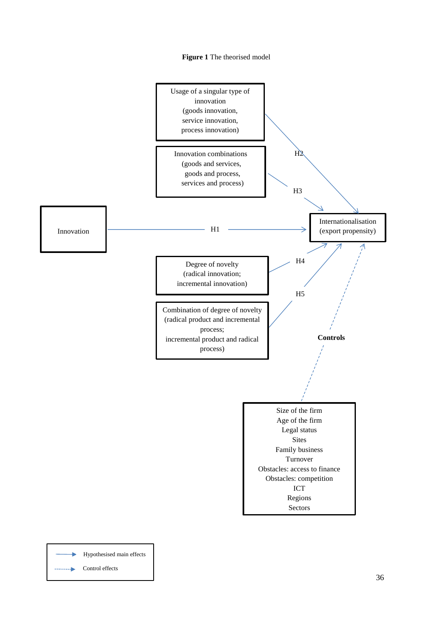



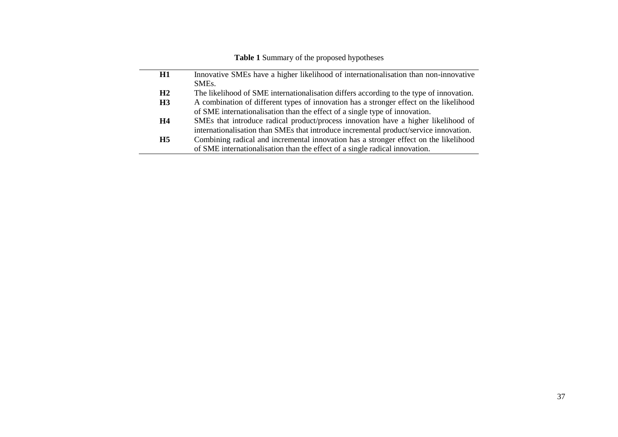## **Table 1** Summary of the proposed hypotheses

| H1        | Innovative SMEs have a higher likelihood of internationalisation than non-innovative    |
|-----------|-----------------------------------------------------------------------------------------|
|           | SME <sub>s</sub> .                                                                      |
| H2        | The likelihood of SME internationalisation differs according to the type of innovation. |
| H3        | A combination of different types of innovation has a stronger effect on the likelihood  |
|           | of SME internationalisation than the effect of a single type of innovation.             |
| H4        | SMEs that introduce radical product/process innovation have a higher likelihood of      |
|           | internationalisation than SMEs that introduce incremental product/service innovation.   |
| <b>H5</b> | Combining radical and incremental innovation has a stronger effect on the likelihood    |
|           | of SME internationalisation than the effect of a single radical innovation.             |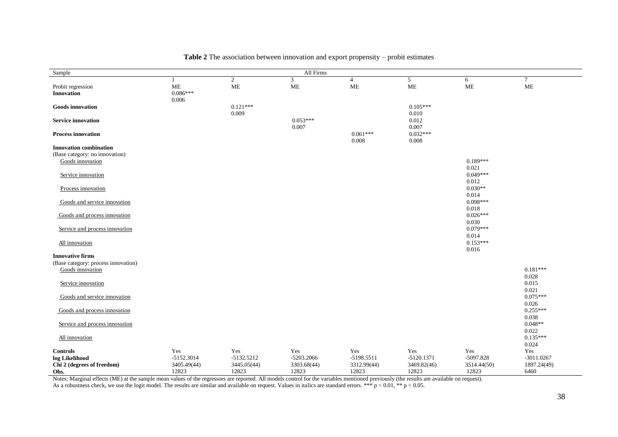| Sample                              |              |                | All Firms   |                |               |             |               |
|-------------------------------------|--------------|----------------|-------------|----------------|---------------|-------------|---------------|
|                                     |              | $\overline{2}$ | 3           | $\overline{4}$ | 5             | 6           | $\tau$        |
| Probit regression                   | <b>ME</b>    | $\rm ME$       | ME          | <b>ME</b>      | $\mathbf{ME}$ | <b>ME</b>   | $\mathbf{ME}$ |
| Innovation                          | $0.086***$   |                |             |                |               |             |               |
|                                     | 0.006        |                |             |                |               |             |               |
| <b>Goods</b> innovation             |              | $0.121***$     |             |                | $0.105***$    |             |               |
|                                     |              | 0.009          |             |                | 0.010         |             |               |
| <b>Service innovation</b>           |              |                | $0.053***$  |                | 0.012         |             |               |
|                                     |              |                | 0.007       |                | 0.007         |             |               |
| <b>Process innovation</b>           |              |                |             | $0.061***$     | $0.032***$    |             |               |
|                                     |              |                |             | 0.008          | 0.008         |             |               |
| <b>Innovation combination</b>       |              |                |             |                |               |             |               |
| (Base category: no innovation)      |              |                |             |                |               |             |               |
| Goods innovation                    |              |                |             |                |               | $0.189***$  |               |
|                                     |              |                |             |                |               | 0.021       |               |
| Service innovation                  |              |                |             |                |               | $0.049***$  |               |
|                                     |              |                |             |                |               | 0.012       |               |
| Process innovation                  |              |                |             |                |               | $0.030**$   |               |
|                                     |              |                |             |                |               | 0.014       |               |
| Goods and service innovation        |              |                |             |                |               | $0.098***$  |               |
|                                     |              |                |             |                |               | 0.018       |               |
| Goods and process innovation        |              |                |             |                |               | $0.026***$  |               |
|                                     |              |                |             |                |               | 0.030       |               |
| Service and process innovation      |              |                |             |                |               | $0.079***$  |               |
|                                     |              |                |             |                |               | 0.014       |               |
| All innovation                      |              |                |             |                |               | $0.153***$  |               |
|                                     |              |                |             |                |               | 0.016       |               |
| <b>Innovative firms</b>             |              |                |             |                |               |             |               |
| (Base category: process innovation) |              |                |             |                |               |             |               |
| Goods innovation                    |              |                |             |                |               |             | $0.181***$    |
|                                     |              |                |             |                |               |             | 0.028         |
| Service innovation                  |              |                |             |                |               |             | 0.015         |
|                                     |              |                |             |                |               |             | 0.021         |
| Goods and service innovation        |              |                |             |                |               |             | $0.075***$    |
|                                     |              |                |             |                |               |             | 0.026         |
| Goods and process innovation        |              |                |             |                |               |             | $0.255***$    |
|                                     |              |                |             |                |               |             | 0.038         |
| Service and process innovation      |              |                |             |                |               |             | $0.048**$     |
|                                     |              |                |             |                |               |             | 0.022         |
| All innovation                      |              |                |             |                |               |             | $0.135***$    |
|                                     |              |                |             |                |               |             | 0.024         |
| <b>Controls</b>                     | Yes          | Yes            | Yes         | Yes            | Yes           | Yes         | Yes           |
| log Likelihood                      | $-5152.3014$ | $-5132.5212$   | -5203.2066  | -5198.5511     | $-5120.1371$  | $-5097.828$ | $-3011.0267$  |
| Chi 2 (degrees of freedom)          | 3405.49(44)  | 3445.05(44)    | 3303.68(44) | 3312.99(44)    | 3469.82(46)   | 3514.44(50) | 1897.24(49)   |
| Obs.                                | 12823        | 12823          | 12823       | 12823          | 12823         | 12823       | 6460          |

#### **Table 2** The association between innovation and export propensity – probit estimates

Notes: Marginal effects (ME) at the sample mean values of the regressors are reported. All models control for the variables mentioned previously (the results are available on request).

As a robustness check, we use the logit model. The results are similar and available on request. Values in italics are standard errors. \*\*\*  $p < 0.01$ , \*\*  $p < 0.05$ .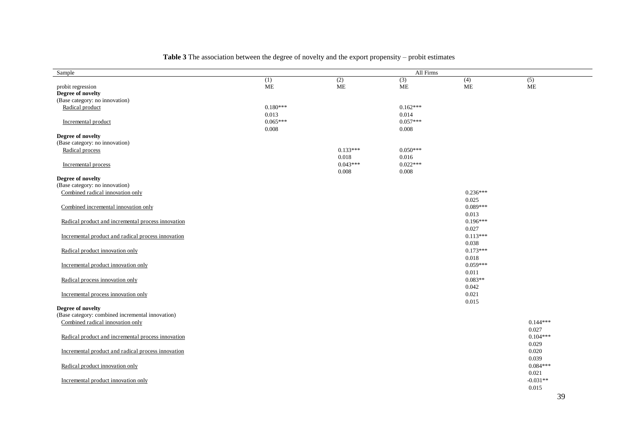| Sample                                             |            |            | All Firms  |            |            |
|----------------------------------------------------|------------|------------|------------|------------|------------|
|                                                    | (1)        | (2)        | (3)        | (4)        | (5)        |
| probit regression                                  | $\rm ME$   | ME         | ME         | ME         | ME         |
| Degree of novelty                                  |            |            |            |            |            |
| (Base category: no innovation)                     |            |            |            |            |            |
| Radical product                                    | $0.180***$ |            | $0.162***$ |            |            |
|                                                    | 0.013      |            | 0.014      |            |            |
| Incremental product                                | $0.065***$ |            | $0.057***$ |            |            |
|                                                    | 0.008      |            | 0.008      |            |            |
| Degree of novelty                                  |            |            |            |            |            |
| (Base category: no innovation)                     |            |            |            |            |            |
| Radical process                                    |            | $0.133***$ | $0.050***$ |            |            |
|                                                    |            | 0.018      | 0.016      |            |            |
| Incremental process                                |            | $0.043***$ | $0.022***$ |            |            |
|                                                    |            | 0.008      | 0.008      |            |            |
| Degree of novelty                                  |            |            |            |            |            |
| (Base category: no innovation)                     |            |            |            |            |            |
| Combined radical innovation only                   |            |            |            | $0.236***$ |            |
|                                                    |            |            |            | 0.025      |            |
| Combined incremental innovation only               |            |            |            | $0.089***$ |            |
|                                                    |            |            |            | 0.013      |            |
| Radical product and incremental process innovation |            |            |            | $0.196***$ |            |
|                                                    |            |            |            | 0.027      |            |
| Incremental product and radical process innovation |            |            |            | $0.113***$ |            |
|                                                    |            |            |            | 0.038      |            |
|                                                    |            |            |            | $0.173***$ |            |
| Radical product innovation only                    |            |            |            |            |            |
|                                                    |            |            |            | 0.018      |            |
| Incremental product innovation only                |            |            |            | $0.059***$ |            |
|                                                    |            |            |            | 0.011      |            |
| Radical process innovation only                    |            |            |            | $0.083**$  |            |
|                                                    |            |            |            | 0.042      |            |
| Incremental process innovation only                |            |            |            | 0.021      |            |
|                                                    |            |            |            | 0.015      |            |
| Degree of novelty                                  |            |            |            |            |            |
| (Base category: combined incremental innovation)   |            |            |            |            |            |
| Combined radical innovation only                   |            |            |            |            | $0.144***$ |
|                                                    |            |            |            |            | 0.027      |
| Radical product and incremental process innovation |            |            |            |            | $0.104***$ |
|                                                    |            |            |            |            | 0.029      |
| Incremental product and radical process innovation |            |            |            |            | 0.020      |
|                                                    |            |            |            |            | 0.039      |
| Radical product innovation only                    |            |            |            |            | $0.084***$ |
|                                                    |            |            |            |            | 0.021      |
| Incremental product innovation only                |            |            |            |            | $-0.031**$ |
|                                                    |            |            |            |            | 0.015      |
|                                                    |            |            |            |            |            |

## **Table 3** The association between the degree of novelty and the export propensity – probit estimates

39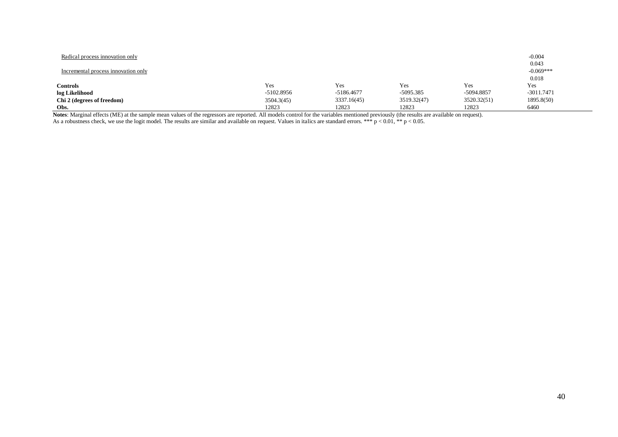| Radical process innovation only     |              |             |             |             | $-0.004$             |
|-------------------------------------|--------------|-------------|-------------|-------------|----------------------|
| Incremental process innovation only |              |             |             |             | 0.043<br>$-0.069***$ |
|                                     |              |             |             |             | 0.018                |
| <b>Controls</b>                     | Yes          | Yes         | Yes         | Yes         | Yes                  |
| log Likelihood                      | $-5102.8956$ | -5186.4677  | -5095.385   | -5094.8857  | $-3011.7471$         |
| Chi 2 (degrees of freedom)          | 3504.3(45)   | 3337.16(45) | 3519.32(47) | 3520.32(51) | 1895.8(50)           |
| Obs.                                | 12823        | 12823       | 12823       | 12823       | 6460                 |

**Notes**: Marginal effects (ME) at the sample mean values of the regressors are reported. All models control for the variables mentioned previously (the results are available on request). As a robustness check, we use the logit model. The results are similar and available on request. Values in italics are standard errors. \*\*\*  $p < 0.01$ , \*\*  $p < 0.05$ .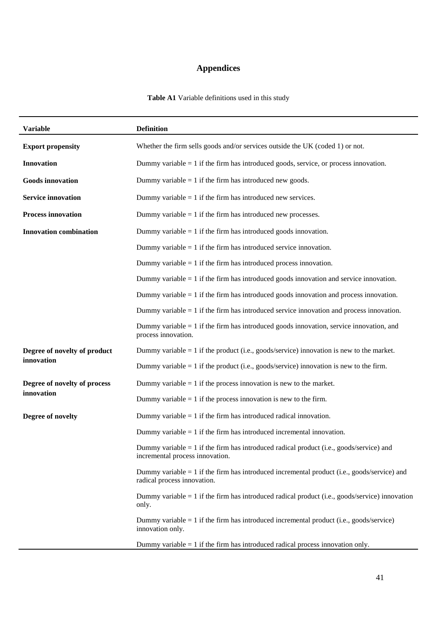# **Appendices**

**Table A1** Variable definitions used in this study

| <b>Variable</b>               | <b>Definition</b>                                                                                                            |
|-------------------------------|------------------------------------------------------------------------------------------------------------------------------|
| <b>Export propensity</b>      | Whether the firm sells goods and/or services outside the UK (coded 1) or not.                                                |
| <b>Innovation</b>             | Dummy variable $= 1$ if the firm has introduced goods, service, or process innovation.                                       |
| <b>Goods</b> innovation       | Dummy variable $= 1$ if the firm has introduced new goods.                                                                   |
| <b>Service innovation</b>     | Dummy variable $= 1$ if the firm has introduced new services.                                                                |
| <b>Process innovation</b>     | Dummy variable $= 1$ if the firm has introduced new processes.                                                               |
| <b>Innovation combination</b> | Dummy variable $= 1$ if the firm has introduced goods innovation.                                                            |
|                               | Dummy variable $= 1$ if the firm has introduced service innovation.                                                          |
|                               | Dummy variable $= 1$ if the firm has introduced process innovation.                                                          |
|                               | Dummy variable $= 1$ if the firm has introduced goods innovation and service innovation.                                     |
|                               | Dummy variable $= 1$ if the firm has introduced goods innovation and process innovation.                                     |
|                               | Dummy variable $= 1$ if the firm has introduced service innovation and process innovation.                                   |
|                               | Dummy variable $= 1$ if the firm has introduced goods innovation, service innovation, and<br>process innovation.             |
| Degree of novelty of product  | Dummy variable $= 1$ if the product (i.e., goods/service) innovation is new to the market.                                   |
| innovation                    | Dummy variable $= 1$ if the product (i.e., goods/service) innovation is new to the firm.                                     |
| Degree of novelty of process  | Dummy variable $= 1$ if the process innovation is new to the market.                                                         |
| innovation                    | Dummy variable $= 1$ if the process innovation is new to the firm.                                                           |
| Degree of novelty             | Dummy variable $= 1$ if the firm has introduced radical innovation.                                                          |
|                               | Dummy variable $= 1$ if the firm has introduced incremental innovation.                                                      |
|                               | Dummy variable $= 1$ if the firm has introduced radical product (i.e., goods/service) and<br>incremental process innovation. |
|                               | Dummy variable $= 1$ if the firm has introduced incremental product (i.e., goods/service) and<br>radical process innovation. |
|                               | Dummy variable $= 1$ if the firm has introduced radical product (i.e., goods/service) innovation<br>only.                    |
|                               | Dummy variable $= 1$ if the firm has introduced incremental product (i.e., goods/service)<br>innovation only.                |
|                               | Dummy variable $= 1$ if the firm has introduced radical process innovation only.                                             |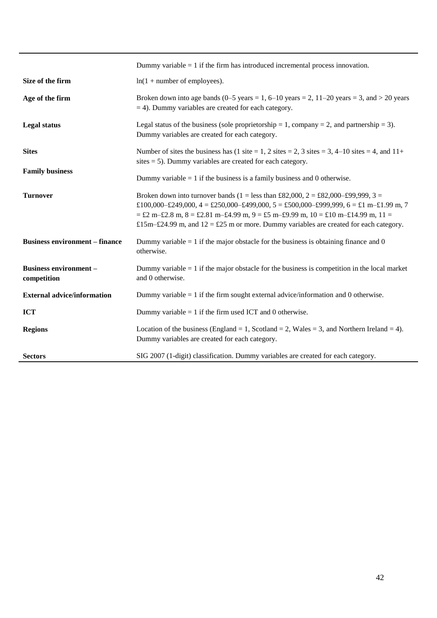|                                              | Dummy variable $= 1$ if the firm has introduced incremental process innovation.                                                                                                                                                                                                                                                                          |
|----------------------------------------------|----------------------------------------------------------------------------------------------------------------------------------------------------------------------------------------------------------------------------------------------------------------------------------------------------------------------------------------------------------|
| Size of the firm                             | $ln(1 + number of employees).$                                                                                                                                                                                                                                                                                                                           |
| Age of the firm                              | Broken down into age bands (0–5 years = 1, 6–10 years = 2, 11–20 years = 3, and > 20 years<br>$=$ 4). Dummy variables are created for each category.                                                                                                                                                                                                     |
| <b>Legal status</b>                          | Legal status of the business (sole proprietorship = 1, company = 2, and partnership = 3).<br>Dummy variables are created for each category.                                                                                                                                                                                                              |
| <b>Sites</b>                                 | Number of sites the business has (1 site = 1, 2 sites = 2, 3 sites = 3, 4–10 sites = 4, and $11+$<br>sites $= 5$ ). Dummy variables are created for each category.                                                                                                                                                                                       |
| <b>Family business</b>                       | Dummy variable $= 1$ if the business is a family business and 0 otherwise.                                                                                                                                                                                                                                                                               |
| <b>Turnover</b>                              | Broken down into turnover bands (1 = less than £82,000, 2 = £82,000–£99,999, 3 =<br>£100,000-£249,000, 4 = £250,000-£499,000, 5 = £500,000-£999,999, 6 = £1 m-£1.99 m, 7<br>$=$ £2 m-£2.8 m, 8 = £2.81 m-£4.99 m, 9 = £5 m-£9.99 m, 10 = £10 m-£14.99 m, 11 =<br>£15m–£24.99 m, and $12 =$ £25 m or more. Dummy variables are created for each category. |
| <b>Business environment – finance</b>        | Dummy variable $= 1$ if the major obstacle for the business is obtaining finance and 0<br>otherwise.                                                                                                                                                                                                                                                     |
| <b>Business environment -</b><br>competition | Dummy variable $= 1$ if the major obstacle for the business is competition in the local market<br>and 0 otherwise.                                                                                                                                                                                                                                       |
| <b>External advice/information</b>           | Dummy variable $= 1$ if the firm sought external advice/information and 0 otherwise.                                                                                                                                                                                                                                                                     |
| <b>ICT</b>                                   | Dummy variable $= 1$ if the firm used ICT and 0 otherwise.                                                                                                                                                                                                                                                                                               |
| <b>Regions</b>                               | Location of the business (England = 1, Scotland = 2, Wales = 3, and Northern Ireland = 4).<br>Dummy variables are created for each category.                                                                                                                                                                                                             |
| <b>Sectors</b>                               | SIG 2007 (1-digit) classification. Dummy variables are created for each category.                                                                                                                                                                                                                                                                        |

I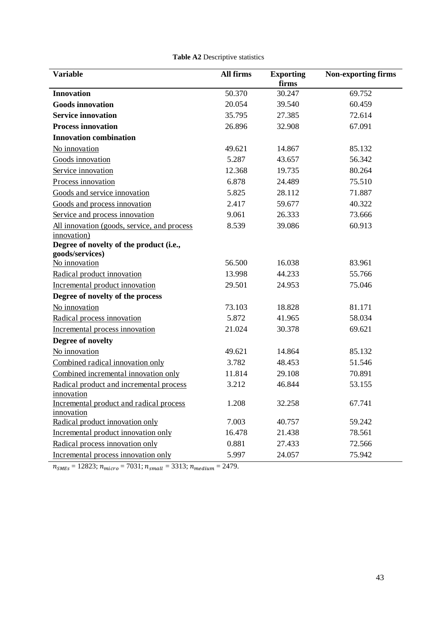| <b>Variable</b>                             | All firms | <b>Exporting</b> | <b>Non-exporting firms</b> |
|---------------------------------------------|-----------|------------------|----------------------------|
|                                             |           | firms            |                            |
| <b>Innovation</b>                           | 50.370    | 30.247           | 69.752                     |
| <b>Goods innovation</b>                     | 20.054    | 39.540           | 60.459                     |
| <b>Service innovation</b>                   | 35.795    | 27.385           | 72.614                     |
| <b>Process innovation</b>                   | 26.896    | 32.908           | 67.091                     |
| <b>Innovation combination</b>               |           |                  |                            |
| No innovation                               | 49.621    | 14.867           | 85.132                     |
| Goods innovation                            | 5.287     | 43.657           | 56.342                     |
| Service innovation                          | 12.368    | 19.735           | 80.264                     |
| Process innovation                          | 6.878     | 24.489           | 75.510                     |
| Goods and service innovation                | 5.825     | 28.112           | 71.887                     |
| Goods and process innovation                | 2.417     | 59.677           | 40.322                     |
| Service and process innovation              | 9.061     | 26.333           | 73.666                     |
| All innovation (goods, service, and process | 8.539     | 39.086           | 60.913                     |
| innovation)                                 |           |                  |                            |
| Degree of novelty of the product (i.e.,     |           |                  |                            |
| goods/services)                             |           |                  |                            |
| No innovation                               | 56.500    | 16.038           | 83.961                     |
| Radical product innovation                  | 13.998    | 44.233           | 55.766                     |
| Incremental product innovation              | 29.501    | 24.953           | 75.046                     |
| Degree of novelty of the process            |           |                  |                            |
| No innovation                               | 73.103    | 18.828           | 81.171                     |
| Radical process innovation                  | 5.872     | 41.965           | 58.034                     |
| Incremental process innovation              | 21.024    | 30.378           | 69.621                     |
| Degree of novelty                           |           |                  |                            |
| No innovation                               | 49.621    | 14.864           | 85.132                     |
| Combined radical innovation only            | 3.782     | 48.453           | 51.546                     |
| Combined incremental innovation only        | 11.814    | 29.108           | 70.891                     |
| Radical product and incremental process     | 3.212     | 46.844           | 53.155                     |
| innovation                                  |           |                  |                            |
| Incremental product and radical process     | 1.208     | 32.258           | 67.741                     |
| innovation                                  |           |                  |                            |
| Radical product innovation only             | 7.003     | 40.757           | 59.242                     |
| Incremental product innovation only         | 16.478    | 21.438           | 78.561                     |
| Radical process innovation only             | 0.881     | 27.433           | 72.566                     |
| Incremental process innovation only         | 5.997     | 24.057           | 75.942                     |

| Table A2 Descriptive statistics |  |
|---------------------------------|--|
|---------------------------------|--|

 $n_{SMEs} = 12823; n_{micro} = 7031; n_{small} = 3313; n_{medium} = 2479.$